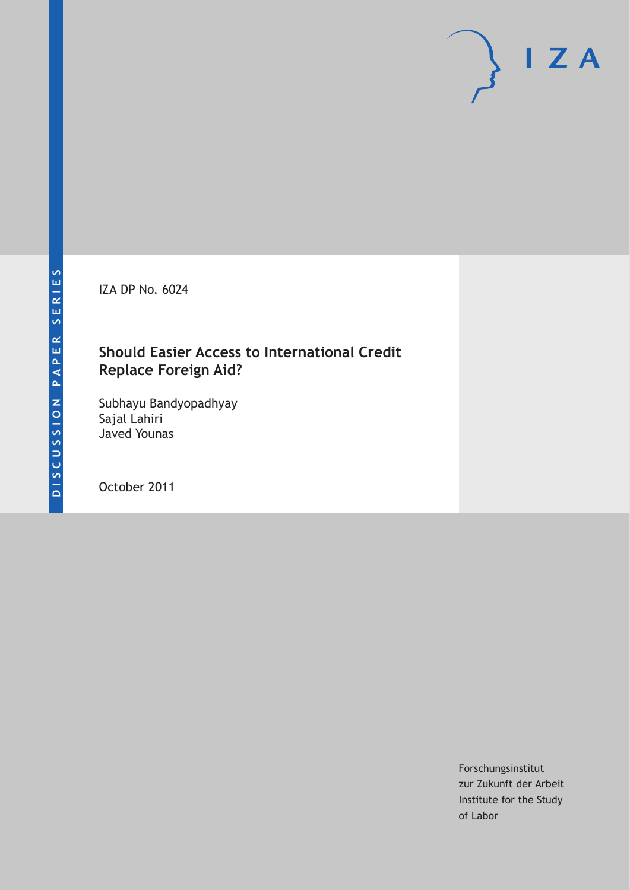IZA DP No. 6024

### **Should Easier Access to International Credit Replace Foreign Aid?**

Subhayu Bandyopadhyay Sajal Lahiri Javed Younas

October 2011

Forschungsinstitut zur Zukunft der Arbeit Institute for the Study of Labor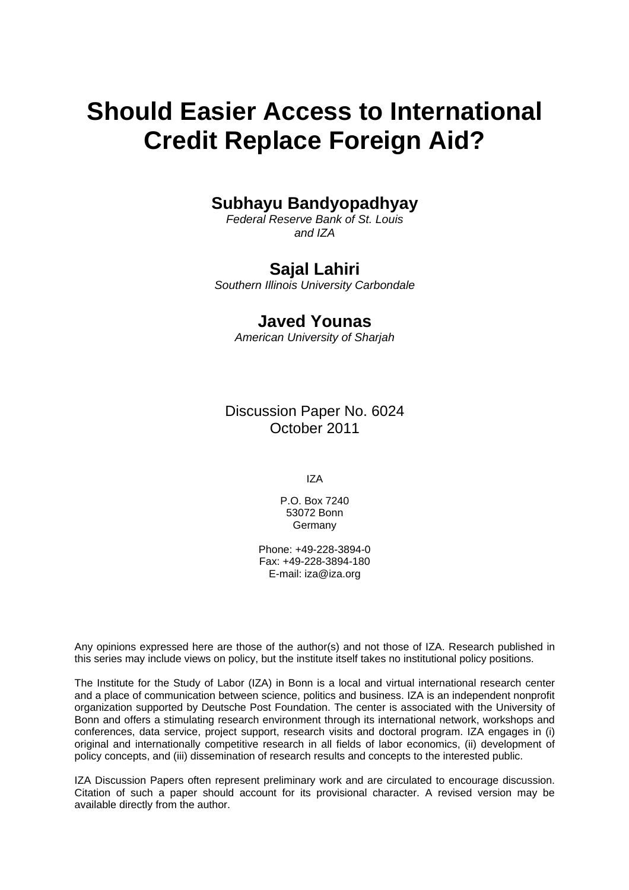# **Should Easier Access to International Credit Replace Foreign Aid?**

### **Subhayu Bandyopadhyay**

*Federal Reserve Bank of St. Louis and IZA* 

#### **Sajal Lahiri**

*Southern Illinois University Carbondale* 

### **Javed Younas**

*American University of Sharjah* 

Discussion Paper No. 6024 October 2011

IZA

P.O. Box 7240 53072 Bonn **Germany** 

Phone: +49-228-3894-0 Fax: +49-228-3894-180 E-mail: [iza@iza.org](mailto:iza@iza.org)

Any opinions expressed here are those of the author(s) and not those of IZA. Research published in this series may include views on policy, but the institute itself takes no institutional policy positions.

The Institute for the Study of Labor (IZA) in Bonn is a local and virtual international research center and a place of communication between science, politics and business. IZA is an independent nonprofit organization supported by Deutsche Post Foundation. The center is associated with the University of Bonn and offers a stimulating research environment through its international network, workshops and conferences, data service, project support, research visits and doctoral program. IZA engages in (i) original and internationally competitive research in all fields of labor economics, (ii) development of policy concepts, and (iii) dissemination of research results and concepts to the interested public.

IZA Discussion Papers often represent preliminary work and are circulated to encourage discussion. Citation of such a paper should account for its provisional character. A revised version may be available directly from the author.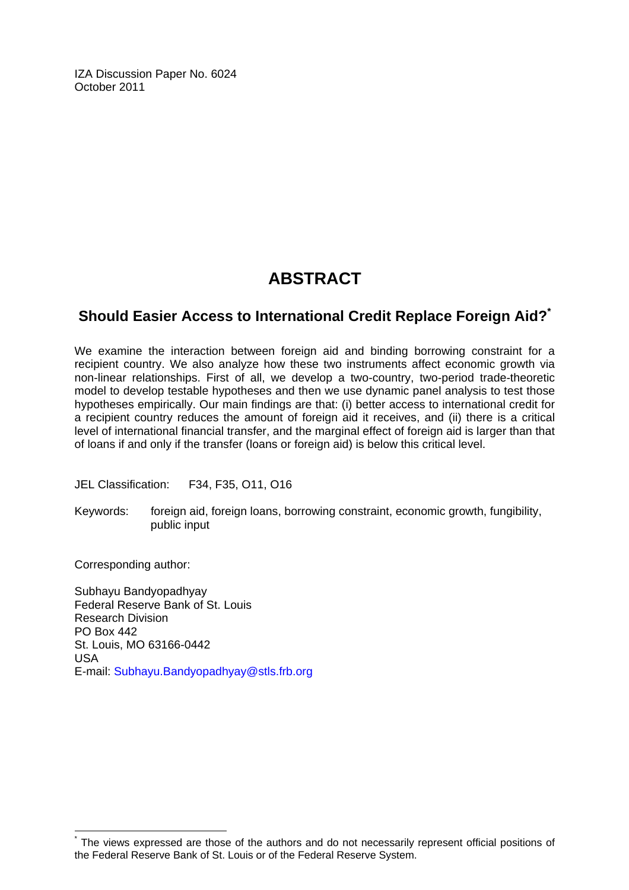IZA Discussion Paper No. 6024 October 2011

## **ABSTRACT**

### **Should Easier Access to International Credit Replace Foreign Aid?[\\*](#page-2-0)**

We examine the interaction between foreign aid and binding borrowing constraint for a recipient country. We also analyze how these two instruments affect economic growth via non-linear relationships. First of all, we develop a two-country, two-period trade-theoretic model to develop testable hypotheses and then we use dynamic panel analysis to test those hypotheses empirically. Our main findings are that: (i) better access to international credit for a recipient country reduces the amount of foreign aid it receives, and (ii) there is a critical level of international financial transfer, and the marginal effect of foreign aid is larger than that of loans if and only if the transfer (loans or foreign aid) is below this critical level.

JEL Classification: F34, F35, O11, O16

Keywords: foreign aid, foreign loans, borrowing constraint, economic growth, fungibility, public input

Corresponding author:

 $\overline{a}$ 

Subhayu Bandyopadhyay Federal Reserve Bank of St. Louis Research Division PO Box 442 St. Louis, MO 63166-0442 USA E-mail: [Subhayu.Bandyopadhyay@stls.frb.org](mailto:Subhayu.Bandyopadhyay@stls.frb.org) 

<span id="page-2-0"></span><sup>\*</sup> The views expressed are those of the authors and do not necessarily represent official positions of the Federal Reserve Bank of St. Louis or of the Federal Reserve System.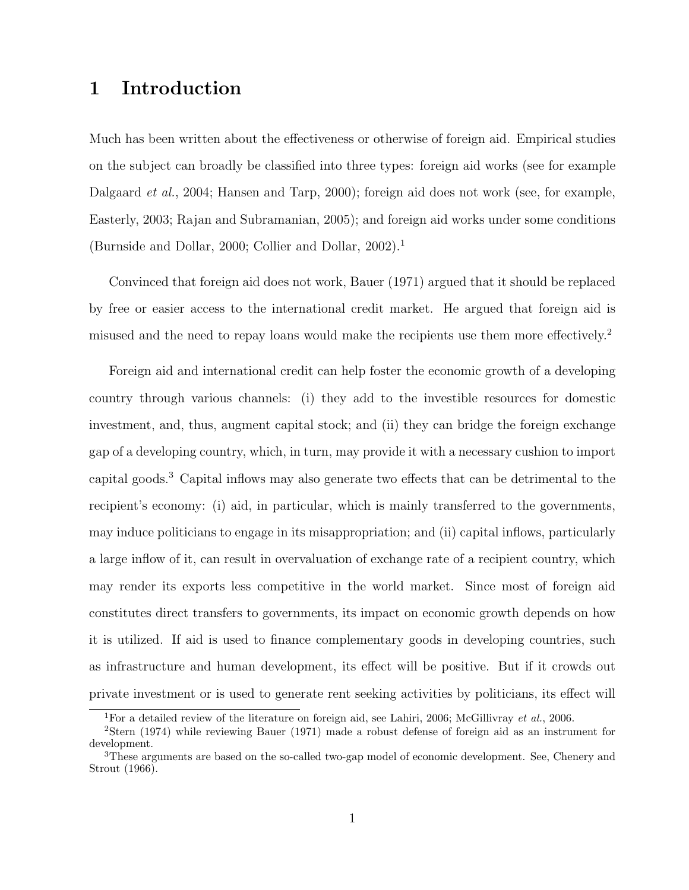### 1 Introduction

Much has been written about the effectiveness or otherwise of foreign aid. Empirical studies on the subject can broadly be classified into three types: foreign aid works (see for example Dalgaard *et al.*, 2004; Hansen and Tarp, 2000); foreign aid does not work (see, for example, Easterly, 2003; Rajan and Subramanian, 2005); and foreign aid works under some conditions (Burnside and Dollar, 2000; Collier and Dollar, 2002).<sup>1</sup>

Convinced that foreign aid does not work, Bauer (1971) argued that it should be replaced by free or easier access to the international credit market. He argued that foreign aid is misused and the need to repay loans would make the recipients use them more effectively.<sup>2</sup>

Foreign aid and international credit can help foster the economic growth of a developing country through various channels: (i) they add to the investible resources for domestic investment, and, thus, augment capital stock; and (ii) they can bridge the foreign exchange gap of a developing country, which, in turn, may provide it with a necessary cushion to import capital goods.<sup>3</sup> Capital inflows may also generate two effects that can be detrimental to the recipient's economy: (i) aid, in particular, which is mainly transferred to the governments, may induce politicians to engage in its misappropriation; and (ii) capital inflows, particularly a large inflow of it, can result in overvaluation of exchange rate of a recipient country, which may render its exports less competitive in the world market. Since most of foreign aid constitutes direct transfers to governments, its impact on economic growth depends on how it is utilized. If aid is used to finance complementary goods in developing countries, such as infrastructure and human development, its effect will be positive. But if it crowds out private investment or is used to generate rent seeking activities by politicians, its effect will

<sup>&</sup>lt;sup>1</sup>For a detailed review of the literature on foreign aid, see Lahiri, 2006; McGillivray *et al.*, 2006.

<sup>2</sup>Stern (1974) while reviewing Bauer (1971) made a robust defense of foreign aid as an instrument for development.

 $3$ These arguments are based on the so-called two-gap model of economic development. See, Chenery and Strout (1966).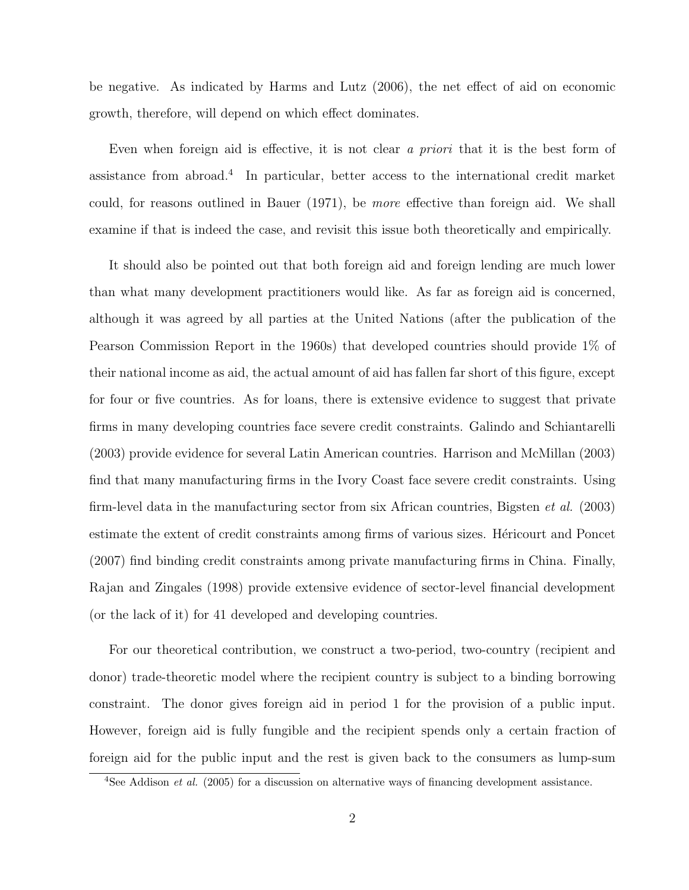be negative. As indicated by Harms and Lutz (2006), the net effect of aid on economic growth, therefore, will depend on which effect dominates.

Even when foreign aid is effective, it is not clear a priori that it is the best form of assistance from abroad.<sup>4</sup> In particular, better access to the international credit market could, for reasons outlined in Bauer (1971), be more effective than foreign aid. We shall examine if that is indeed the case, and revisit this issue both theoretically and empirically.

It should also be pointed out that both foreign aid and foreign lending are much lower than what many development practitioners would like. As far as foreign aid is concerned, although it was agreed by all parties at the United Nations (after the publication of the Pearson Commission Report in the 1960s) that developed countries should provide 1% of their national income as aid, the actual amount of aid has fallen far short of this figure, except for four or five countries. As for loans, there is extensive evidence to suggest that private firms in many developing countries face severe credit constraints. Galindo and Schiantarelli (2003) provide evidence for several Latin American countries. Harrison and McMillan (2003) find that many manufacturing firms in the Ivory Coast face severe credit constraints. Using firm-level data in the manufacturing sector from six African countries, Bigsten *et al.* (2003) estimate the extent of credit constraints among firms of various sizes. Hericourt and Poncet (2007) find binding credit constraints among private manufacturing firms in China. Finally, Rajan and Zingales (1998) provide extensive evidence of sector-level financial development (or the lack of it) for 41 developed and developing countries.

For our theoretical contribution, we construct a two-period, two-country (recipient and donor) trade-theoretic model where the recipient country is subject to a binding borrowing constraint. The donor gives foreign aid in period 1 for the provision of a public input. However, foreign aid is fully fungible and the recipient spends only a certain fraction of foreign aid for the public input and the rest is given back to the consumers as lump-sum

 $4$ See Addison *et al.* (2005) for a discussion on alternative ways of financing development assistance.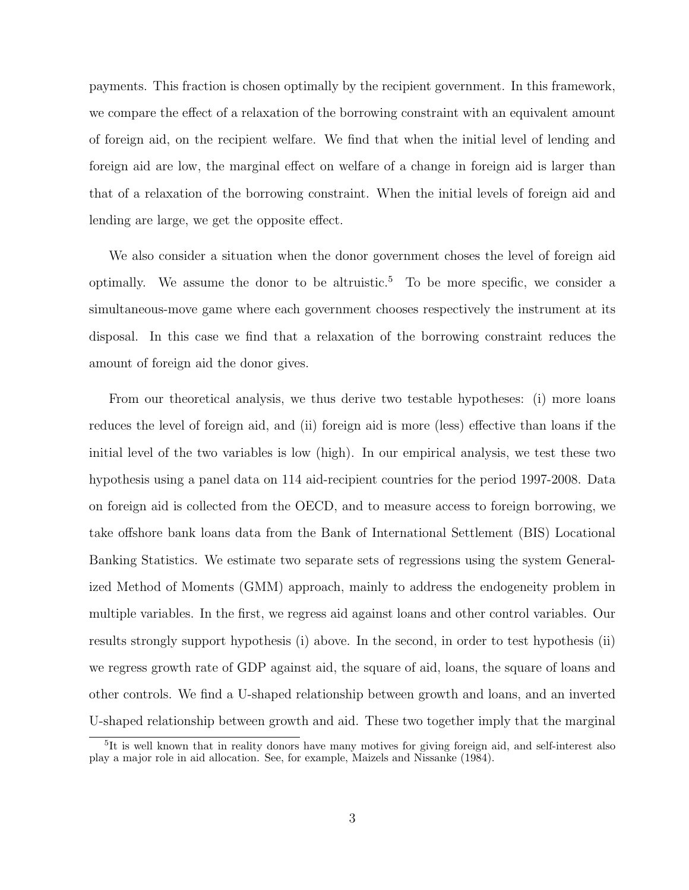payments. This fraction is chosen optimally by the recipient government. In this framework, we compare the effect of a relaxation of the borrowing constraint with an equivalent amount of foreign aid, on the recipient welfare. We find that when the initial level of lending and foreign aid are low, the marginal effect on welfare of a change in foreign aid is larger than that of a relaxation of the borrowing constraint. When the initial levels of foreign aid and lending are large, we get the opposite effect.

We also consider a situation when the donor government choses the level of foreign aid optimally. We assume the donor to be altruistic.<sup>5</sup> To be more specific, we consider a simultaneous-move game where each government chooses respectively the instrument at its disposal. In this case we find that a relaxation of the borrowing constraint reduces the amount of foreign aid the donor gives.

From our theoretical analysis, we thus derive two testable hypotheses: (i) more loans reduces the level of foreign aid, and (ii) foreign aid is more (less) effective than loans if the initial level of the two variables is low (high). In our empirical analysis, we test these two hypothesis using a panel data on 114 aid-recipient countries for the period 1997-2008. Data on foreign aid is collected from the OECD, and to measure access to foreign borrowing, we take offshore bank loans data from the Bank of International Settlement (BIS) Locational Banking Statistics. We estimate two separate sets of regressions using the system Generalized Method of Moments (GMM) approach, mainly to address the endogeneity problem in multiple variables. In the first, we regress aid against loans and other control variables. Our results strongly support hypothesis (i) above. In the second, in order to test hypothesis (ii) we regress growth rate of GDP against aid, the square of aid, loans, the square of loans and other controls. We find a U-shaped relationship between growth and loans, and an inverted U-shaped relationship between growth and aid. These two together imply that the marginal

<sup>&</sup>lt;sup>5</sup>It is well known that in reality donors have many motives for giving foreign aid, and self-interest also play a major role in aid allocation. See, for example, Maizels and Nissanke (1984).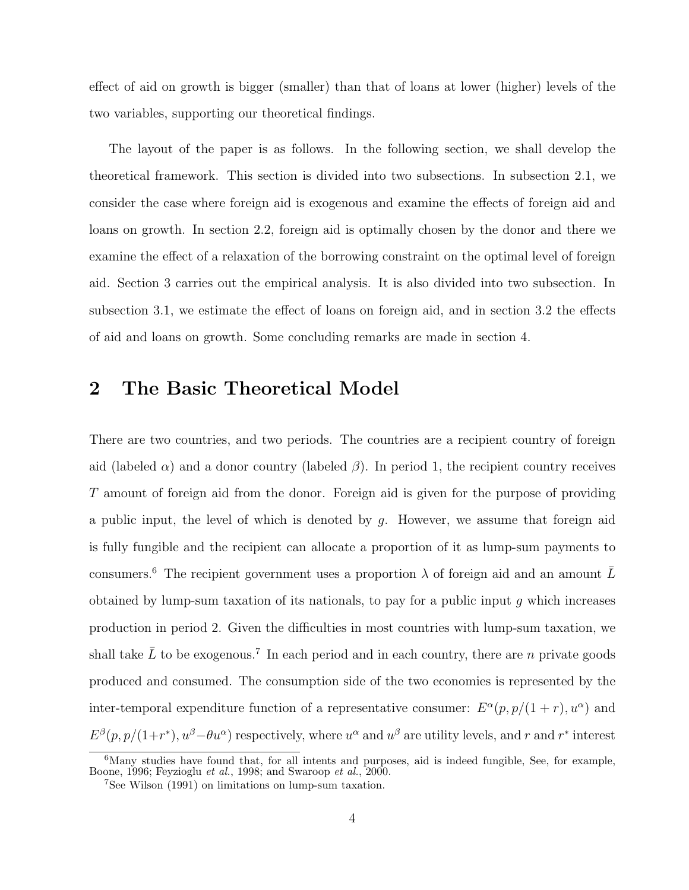effect of aid on growth is bigger (smaller) than that of loans at lower (higher) levels of the two variables, supporting our theoretical findings.

The layout of the paper is as follows. In the following section, we shall develop the theoretical framework. This section is divided into two subsections. In subsection 2.1, we consider the case where foreign aid is exogenous and examine the effects of foreign aid and loans on growth. In section 2.2, foreign aid is optimally chosen by the donor and there we examine the effect of a relaxation of the borrowing constraint on the optimal level of foreign aid. Section 3 carries out the empirical analysis. It is also divided into two subsection. In subsection 3.1, we estimate the effect of loans on foreign aid, and in section 3.2 the effects of aid and loans on growth. Some concluding remarks are made in section 4.

### 2 The Basic Theoretical Model

There are two countries, and two periods. The countries are a recipient country of foreign aid (labeled  $\alpha$ ) and a donor country (labeled  $\beta$ ). In period 1, the recipient country receives T amount of foreign aid from the donor. Foreign aid is given for the purpose of providing a public input, the level of which is denoted by  $q$ . However, we assume that foreign aid is fully fungible and the recipient can allocate a proportion of it as lump-sum payments to consumers.<sup>6</sup> The recipient government uses a proportion  $\lambda$  of foreign aid and an amount  $\overline{L}$ obtained by lump-sum taxation of its nationals, to pay for a public input  $g$  which increases production in period 2. Given the difficulties in most countries with lump-sum taxation, we shall take  $\bar{L}$  to be exogenous.<sup>7</sup> In each period and in each country, there are n private goods produced and consumed. The consumption side of the two economies is represented by the inter-temporal expenditure function of a representative consumer:  $E^{\alpha}(p, p/(1+r), u^{\alpha})$  and  $E^{\beta}(p, p/(1+r^*), u^{\beta} - \theta u^{\alpha})$  respectively, where  $u^{\alpha}$  and  $u^{\beta}$  are utility levels, and r and r<sup>\*</sup> interest

<sup>&</sup>lt;sup>6</sup>Many studies have found that, for all intents and purposes, aid is indeed fungible, See, for example, Boone, 1996; Feyzioglu et al., 1998; and Swaroop et al., 2000.

<sup>7</sup>See Wilson (1991) on limitations on lump-sum taxation.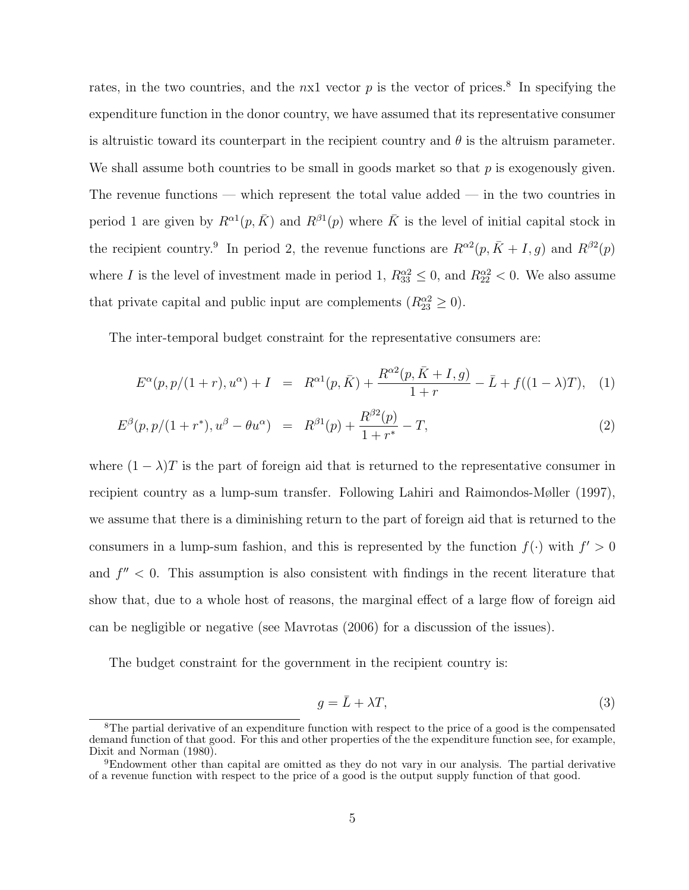rates, in the two countries, and the  $nx1$  vector  $p$  is the vector of prices.<sup>8</sup> In specifying the expenditure function in the donor country, we have assumed that its representative consumer is altruistic toward its counterpart in the recipient country and  $\theta$  is the altruism parameter. We shall assume both countries to be small in goods market so that  $p$  is exogenously given. The revenue functions — which represent the total value added — in the two countries in period 1 are given by  $R^{\alpha 1}(p, \bar{K})$  and  $R^{\beta 1}(p)$  where  $\bar{K}$  is the level of initial capital stock in the recipient country.<sup>9</sup> In period 2, the revenue functions are  $R^{\alpha}^2(p, \bar{K} + I, g)$  and  $R^{\beta}^2(p)$ where I is the level of investment made in period 1,  $R_{33}^{\alpha 2} \le 0$ , and  $R_{22}^{\alpha 2} < 0$ . We also assume that private capital and public input are complements  $(R_{23}^{\alpha2} \geq 0)$ .

The inter-temporal budget constraint for the representative consumers are:

$$
E^{\alpha}(p, p/(1+r), u^{\alpha}) + I = R^{\alpha 1}(p, \bar{K}) + \frac{R^{\alpha 2}(p, \bar{K} + I, g)}{1+r} - \bar{L} + f((1 - \lambda)T), \quad (1)
$$

$$
E^{\beta}(p, p/(1+r^*), u^{\beta} - \theta u^{\alpha}) = R^{\beta 1}(p) + \frac{R^{\beta 2}(p)}{1+r^*} - T,
$$
\n(2)

where  $(1 - \lambda)T$  is the part of foreign aid that is returned to the representative consumer in recipient country as a lump-sum transfer. Following Lahiri and Raimondos-Møller (1997), we assume that there is a diminishing return to the part of foreign aid that is returned to the consumers in a lump-sum fashion, and this is represented by the function  $f(\cdot)$  with  $f' > 0$ and  $f'' < 0$ . This assumption is also consistent with findings in the recent literature that show that, due to a whole host of reasons, the marginal effect of a large flow of foreign aid can be negligible or negative (see Mavrotas (2006) for a discussion of the issues).

The budget constraint for the government in the recipient country is:

$$
g = \bar{L} + \lambda T,\tag{3}
$$

<sup>&</sup>lt;sup>8</sup>The partial derivative of an expenditure function with respect to the price of a good is the compensated demand function of that good. For this and other properties of the the expenditure function see, for example, Dixit and Norman (1980).

<sup>9</sup>Endowment other than capital are omitted as they do not vary in our analysis. The partial derivative of a revenue function with respect to the price of a good is the output supply function of that good.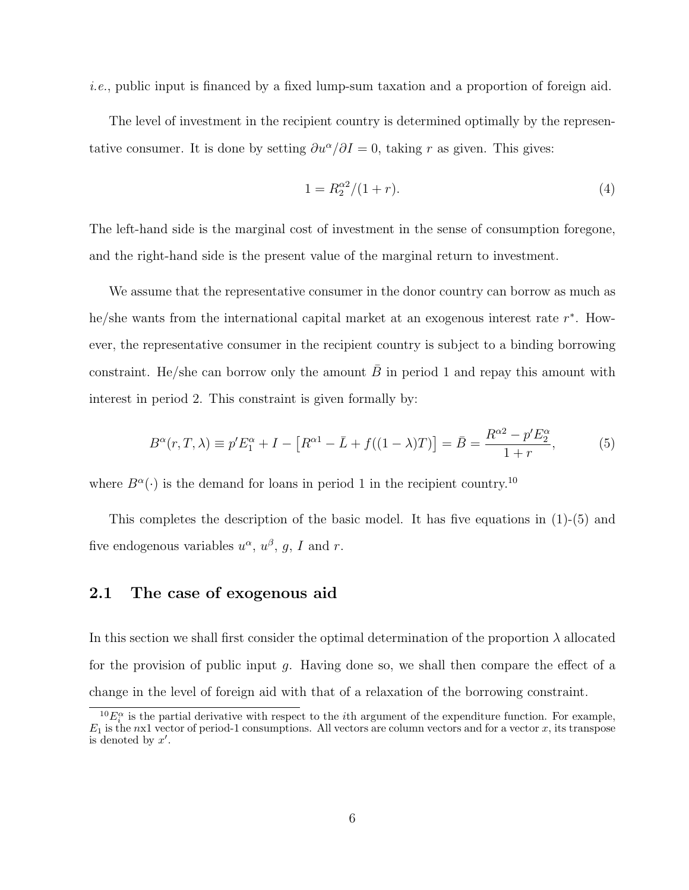i.e., public input is financed by a fixed lump-sum taxation and a proportion of foreign aid.

The level of investment in the recipient country is determined optimally by the representative consumer. It is done by setting  $\partial u^{\alpha}/\partial I = 0$ , taking r as given. This gives:

$$
1 = R_2^{\alpha 2} / (1 + r). \tag{4}
$$

The left-hand side is the marginal cost of investment in the sense of consumption foregone, and the right-hand side is the present value of the marginal return to investment.

We assume that the representative consumer in the donor country can borrow as much as he/she wants from the international capital market at an exogenous interest rate  $r^*$ . However, the representative consumer in the recipient country is subject to a binding borrowing constraint. He/she can borrow only the amount  $\bar{B}$  in period 1 and repay this amount with interest in period 2. This constraint is given formally by:

$$
B^{\alpha}(r, T, \lambda) \equiv p'E_1^{\alpha} + I - [R^{\alpha 1} - \bar{L} + f((1 - \lambda)T)] = \bar{B} = \frac{R^{\alpha 2} - p'E_2^{\alpha}}{1 + r},
$$
(5)

where  $B^{\alpha}(\cdot)$  is the demand for loans in period 1 in the recipient country.<sup>10</sup>

This completes the description of the basic model. It has five equations in  $(1)-(5)$  and five endogenous variables  $u^{\alpha}$ ,  $u^{\beta}$ , g, I and r.

#### 2.1 The case of exogenous aid

In this section we shall first consider the optimal determination of the proportion  $\lambda$  allocated for the provision of public input  $q$ . Having done so, we shall then compare the effect of a change in the level of foreign aid with that of a relaxation of the borrowing constraint.

 ${}^{10}E_i^{\alpha}$  is the partial derivative with respect to the *i*th argument of the expenditure function. For example,  $E_1$  is the nx1 vector of period-1 consumptions. All vectors are column vectors and for a vector x, its transpose is denoted by  $x'$ .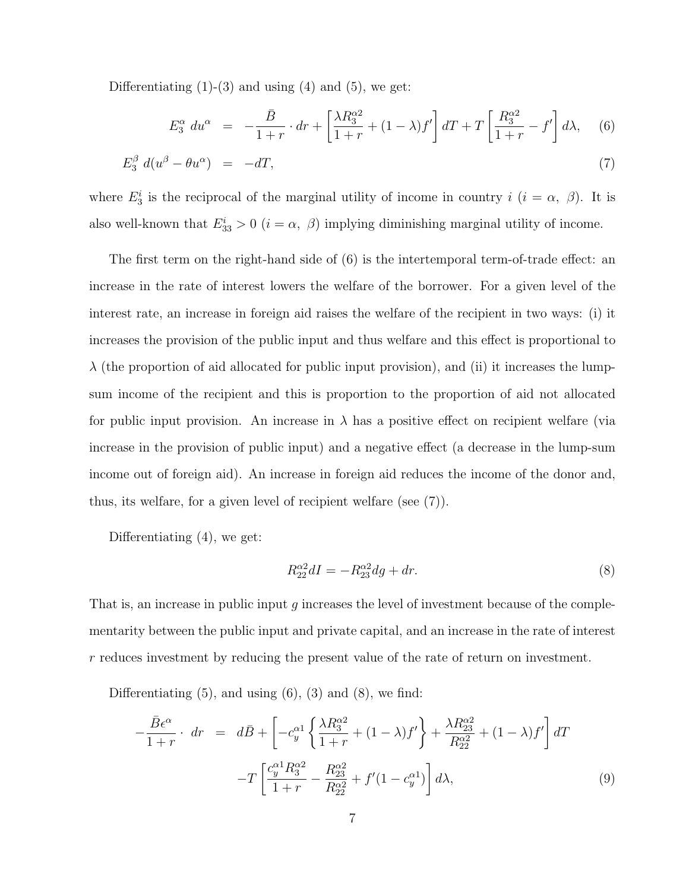Differentiating  $(1)-(3)$  and using  $(4)$  and  $(5)$ , we get:

$$
E_3^{\alpha} du^{\alpha} = -\frac{\bar{B}}{1+r} \cdot dr + \left[ \frac{\lambda R_3^{\alpha 2}}{1+r} + (1-\lambda)f' \right] dT + T \left[ \frac{R_3^{\alpha 2}}{1+r} - f' \right] d\lambda, \quad (6)
$$

$$
E_3^{\beta} d(u^{\beta} - \theta u^{\alpha}) = -dT,\tag{7}
$$

where  $E_3^i$  is the reciprocal of the marginal utility of income in country  $i$   $(i = \alpha, \beta)$ . It is also well-known that  $E_{33}^i > 0$   $(i = \alpha, \beta)$  implying diminishing marginal utility of income.

The first term on the right-hand side of (6) is the intertemporal term-of-trade effect: an increase in the rate of interest lowers the welfare of the borrower. For a given level of the interest rate, an increase in foreign aid raises the welfare of the recipient in two ways: (i) it increases the provision of the public input and thus welfare and this effect is proportional to  $\lambda$  (the proportion of aid allocated for public input provision), and (ii) it increases the lumpsum income of the recipient and this is proportion to the proportion of aid not allocated for public input provision. An increase in  $\lambda$  has a positive effect on recipient welfare (via increase in the provision of public input) and a negative effect (a decrease in the lump-sum income out of foreign aid). An increase in foreign aid reduces the income of the donor and, thus, its welfare, for a given level of recipient welfare (see (7)).

Differentiating (4), we get:

$$
R_{22}^{\alpha 2}dI = -R_{23}^{\alpha 2}dg + dr.
$$
\n
$$
(8)
$$

That is, an increase in public input  $g$  increases the level of investment because of the complementarity between the public input and private capital, and an increase in the rate of interest r reduces investment by reducing the present value of the rate of return on investment.

Differentiating  $(5)$ , and using  $(6)$ ,  $(3)$  and  $(8)$ , we find:

$$
-\frac{\bar{B}\epsilon^{\alpha}}{1+r} \cdot dr = d\bar{B} + \left[ -c_y^{\alpha 1} \left\{ \frac{\lambda R_3^{\alpha 2}}{1+r} + (1-\lambda)f' \right\} + \frac{\lambda R_{23}^{\alpha 2}}{R_{22}^{\alpha 2}} + (1-\lambda)f' \right] dT -T \left[ \frac{c_y^{\alpha 1} R_3^{\alpha 2}}{1+r} - \frac{R_{23}^{\alpha 2}}{R_{22}^{\alpha 2}} + f'(1-c_y^{\alpha 1}) \right] d\lambda,
$$
 (9)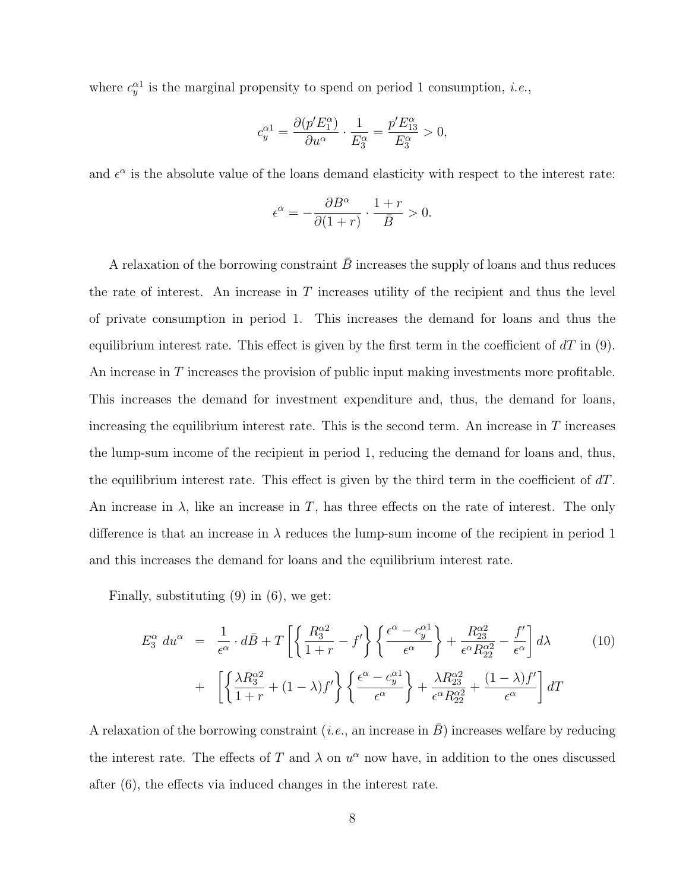where  $c_y^{\alpha 1}$  is the marginal propensity to spend on period 1 consumption, *i.e.*,

$$
c^{\alpha 1}_y = \frac{\partial (p'E^\alpha_1)}{\partial u^\alpha} \cdot \frac{1}{E^\alpha_3} = \frac{p'E^\alpha_{13}}{E^\alpha_3} > 0,
$$

and  $\epsilon^{\alpha}$  is the absolute value of the loans demand elasticity with respect to the interest rate:

$$
\epsilon^{\alpha}=-\frac{\partial B^{\alpha}}{\partial(1+r)}\cdot\frac{1+r}{\bar{B}}>0.
$$

A relaxation of the borrowing constraint  $\bar{B}$  increases the supply of loans and thus reduces the rate of interest. An increase in  $T$  increases utility of the recipient and thus the level of private consumption in period 1. This increases the demand for loans and thus the equilibrium interest rate. This effect is given by the first term in the coefficient of  $dT$  in (9). An increase in T increases the provision of public input making investments more profitable. This increases the demand for investment expenditure and, thus, the demand for loans, increasing the equilibrium interest rate. This is the second term. An increase in  $T$  increases the lump-sum income of the recipient in period 1, reducing the demand for loans and, thus, the equilibrium interest rate. This effect is given by the third term in the coefficient of  $dT$ . An increase in  $\lambda$ , like an increase in T, has three effects on the rate of interest. The only difference is that an increase in  $\lambda$  reduces the lump-sum income of the recipient in period 1 and this increases the demand for loans and the equilibrium interest rate.

Finally, substituting (9) in (6), we get:

$$
E_3^{\alpha} du^{\alpha} = \frac{1}{\epsilon^{\alpha}} \cdot d\bar{B} + T \left[ \left\{ \frac{R_3^{\alpha 2}}{1+r} - f' \right\} \left\{ \frac{\epsilon^{\alpha} - c_y^{\alpha 1}}{\epsilon^{\alpha}} \right\} + \frac{R_{23}^{\alpha 2}}{\epsilon^{\alpha} R_{22}^{\alpha 2}} - \frac{f'}{\epsilon^{\alpha}} \right] d\lambda \qquad (10)
$$
  
+ 
$$
\left[ \left\{ \frac{\lambda R_3^{\alpha 2}}{1+r} + (1-\lambda)f' \right\} \left\{ \frac{\epsilon^{\alpha} - c_y^{\alpha 1}}{\epsilon^{\alpha}} \right\} + \frac{\lambda R_{23}^{\alpha 2}}{\epsilon^{\alpha} R_{22}^{\alpha 2}} + \frac{(1-\lambda)f'}{\epsilon^{\alpha}} \right] dT
$$

A relaxation of the borrowing constraint (*i.e.*, an increase in  $\bar{B}$ ) increases welfare by reducing the interest rate. The effects of T and  $\lambda$  on  $u^{\alpha}$  now have, in addition to the ones discussed after (6), the effects via induced changes in the interest rate.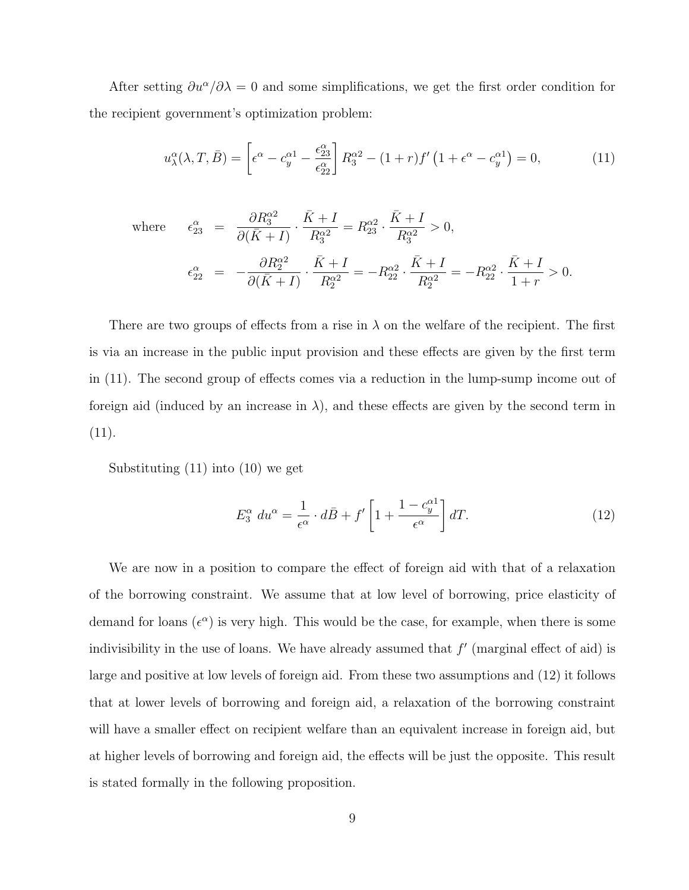After setting  $\partial u^{\alpha}/\partial \lambda = 0$  and some simplifications, we get the first order condition for the recipient government's optimization problem:

$$
u_{\lambda}^{\alpha}(\lambda, T, \bar{B}) = \left[\epsilon^{\alpha} - c_y^{\alpha 1} - \frac{\epsilon_{23}^{\alpha}}{\epsilon_{22}^{\alpha}}\right] R_3^{\alpha 2} - (1+r)f'\left(1 + \epsilon^{\alpha} - c_y^{\alpha 1}\right) = 0,\tag{11}
$$

where 
$$
\epsilon_{23}^{\alpha} = \frac{\partial R_3^{\alpha 2}}{\partial (\bar{K} + I)} \cdot \frac{\bar{K} + I}{R_3^{\alpha 2}} = R_{23}^{\alpha 2} \cdot \frac{\bar{K} + I}{R_3^{\alpha 2}} > 0,
$$
  

$$
\epsilon_{22}^{\alpha} = -\frac{\partial R_2^{\alpha 2}}{\partial (\bar{K} + I)} \cdot \frac{\bar{K} + I}{R_2^{\alpha 2}} = -R_{22}^{\alpha 2} \cdot \frac{\bar{K} + I}{R_2^{\alpha 2}} = -R_{22}^{\alpha 2} \cdot \frac{\bar{K} + I}{1 + r} > 0.
$$

There are two groups of effects from a rise in  $\lambda$  on the welfare of the recipient. The first is via an increase in the public input provision and these effects are given by the first term in (11). The second group of effects comes via a reduction in the lump-sump income out of foreign aid (induced by an increase in  $\lambda$ ), and these effects are given by the second term in (11).

Substituting (11) into (10) we get

$$
E_3^{\alpha} du^{\alpha} = \frac{1}{\epsilon^{\alpha}} \cdot d\bar{B} + f' \left[ 1 + \frac{1 - c_y^{\alpha 1}}{\epsilon^{\alpha}} \right] dT.
$$
 (12)

We are now in a position to compare the effect of foreign aid with that of a relaxation of the borrowing constraint. We assume that at low level of borrowing, price elasticity of demand for loans  $(\epsilon^{\alpha})$  is very high. This would be the case, for example, when there is some indivisibility in the use of loans. We have already assumed that  $f'$  (marginal effect of aid) is large and positive at low levels of foreign aid. From these two assumptions and (12) it follows that at lower levels of borrowing and foreign aid, a relaxation of the borrowing constraint will have a smaller effect on recipient welfare than an equivalent increase in foreign aid, but at higher levels of borrowing and foreign aid, the effects will be just the opposite. This result is stated formally in the following proposition.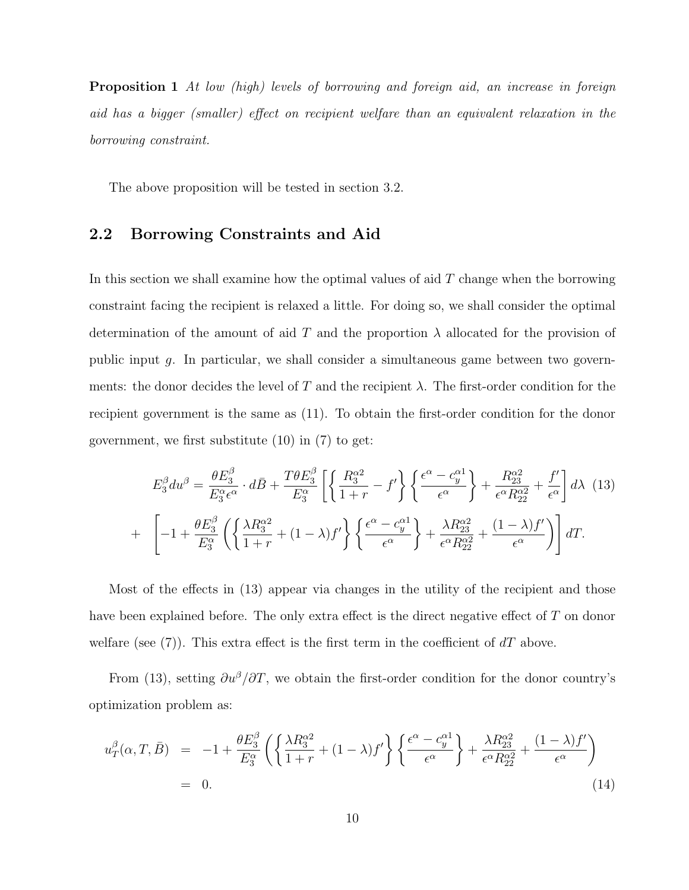**Proposition 1** At low (high) levels of borrowing and foreign aid, an increase in foreign aid has a bigger (smaller) effect on recipient welfare than an equivalent relaxation in the borrowing constraint.

The above proposition will be tested in section 3.2.

#### 2.2 Borrowing Constraints and Aid

In this section we shall examine how the optimal values of aid  $T$  change when the borrowing constraint facing the recipient is relaxed a little. For doing so, we shall consider the optimal determination of the amount of aid T and the proportion  $\lambda$  allocated for the provision of public input g. In particular, we shall consider a simultaneous game between two governments: the donor decides the level of T and the recipient  $\lambda$ . The first-order condition for the recipient government is the same as (11). To obtain the first-order condition for the donor government, we first substitute (10) in (7) to get:

$$
E_3^{\beta} du^{\beta} = \frac{\theta E_3^{\beta}}{E_3^{\alpha} \epsilon^{\alpha}} \cdot d\bar{B} + \frac{T \theta E_3^{\beta}}{E_3^{\alpha}} \left[ \left\{ \frac{R_3^{\alpha 2}}{1+r} - f' \right\} \left\{ \frac{\epsilon^{\alpha} - c_y^{\alpha 1}}{\epsilon^{\alpha}} \right\} + \frac{R_{23}^{\alpha 2}}{\epsilon^{\alpha} R_{22}^{\alpha 2}} + \frac{f'}{\epsilon^{\alpha}} \right] d\lambda \quad (13)
$$
  
+ 
$$
\left[ -1 + \frac{\theta E_3^{\beta}}{E_3^{\alpha}} \left( \left\{ \frac{\lambda R_3^{\alpha 2}}{1+r} + (1-\lambda)f' \right\} \left\{ \frac{\epsilon^{\alpha} - c_y^{\alpha 1}}{\epsilon^{\alpha}} \right\} + \frac{\lambda R_{23}^{\alpha 2}}{\epsilon^{\alpha} R_{22}^{\alpha 2}} + \frac{(1-\lambda)f'}{\epsilon^{\alpha}} \right) \right] dT.
$$

Most of the effects in (13) appear via changes in the utility of the recipient and those have been explained before. The only extra effect is the direct negative effect of T on donor welfare (see (7)). This extra effect is the first term in the coefficient of  $dT$  above.

From (13), setting  $\partial u^{\beta}/\partial T$ , we obtain the first-order condition for the donor country's optimization problem as:

$$
u_T^{\beta}(\alpha, T, \bar{B}) = -1 + \frac{\theta E_3^{\beta}}{E_3^{\alpha}} \left( \left\{ \frac{\lambda R_3^{\alpha 2}}{1+r} + (1-\lambda)f' \right\} \left\{ \frac{\epsilon^{\alpha} - c_y^{\alpha 1}}{\epsilon^{\alpha}} \right\} + \frac{\lambda R_{23}^{\alpha 2}}{\epsilon^{\alpha} R_{22}^{\alpha 2}} + \frac{(1-\lambda)f'}{\epsilon^{\alpha}} \right)
$$
  
= 0. (14)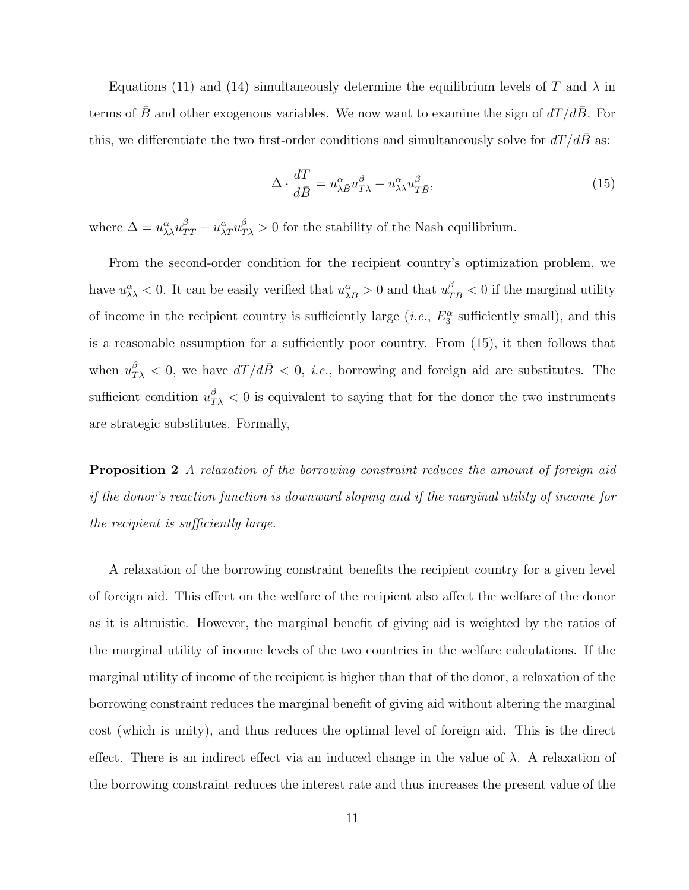Equations (11) and (14) simultaneously determine the equilibrium levels of T and  $\lambda$  in terms of  $\bar{B}$  and other exogenous variables. We now want to examine the sign of  $dT/d\bar{B}$ . For this, we differentiate the two first-order conditions and simultaneously solve for  $dT/dB$  as:

$$
\Delta \cdot \frac{dT}{d\bar{B}} = u_{\lambda\bar{B}}^{\alpha} u_{T\lambda}^{\beta} - u_{\lambda\lambda}^{\alpha} u_{T\bar{B}}^{\beta},\tag{15}
$$

where  $\Delta = u_{\lambda\lambda}^{\alpha}u_{TT}^{\beta} - u_{\lambda T}^{\alpha}u_{T\lambda}^{\beta} > 0$  for the stability of the Nash equilibrium.

From the second-order condition for the recipient country's optimization problem, we have  $u_{\lambda\lambda}^{\alpha} < 0$ . It can be easily verified that  $u_{\lambda\bar{B}}^{\alpha} > 0$  and that  $u_{T\bar{B}}^{\beta} < 0$  if the marginal utility of income in the recipient country is sufficiently large (*i.e.*,  $E_3^{\alpha}$  sufficiently small), and this is a reasonable assumption for a sufficiently poor country. From (15), it then follows that when  $u_{T\lambda}^{\beta} < 0$ , we have  $dT/d\bar{B} < 0$ , *i.e.*, borrowing and foreign aid are substitutes. The sufficient condition  $u_{T\lambda}^{\beta} < 0$  is equivalent to saying that for the donor the two instruments are strategic substitutes. Formally,

Proposition 2 A relaxation of the borrowing constraint reduces the amount of foreign aid if the donor's reaction function is downward sloping and if the marginal utility of income for the recipient is sufficiently large.

A relaxation of the borrowing constraint benefits the recipient country for a given level of foreign aid. This effect on the welfare of the recipient also affect the welfare of the donor as it is altruistic. However, the marginal benefit of giving aid is weighted by the ratios of the marginal utility of income levels of the two countries in the welfare calculations. If the marginal utility of income of the recipient is higher than that of the donor, a relaxation of the borrowing constraint reduces the marginal benefit of giving aid without altering the marginal cost (which is unity), and thus reduces the optimal level of foreign aid. This is the direct effect. There is an indirect effect via an induced change in the value of  $\lambda$ . A relaxation of the borrowing constraint reduces the interest rate and thus increases the present value of the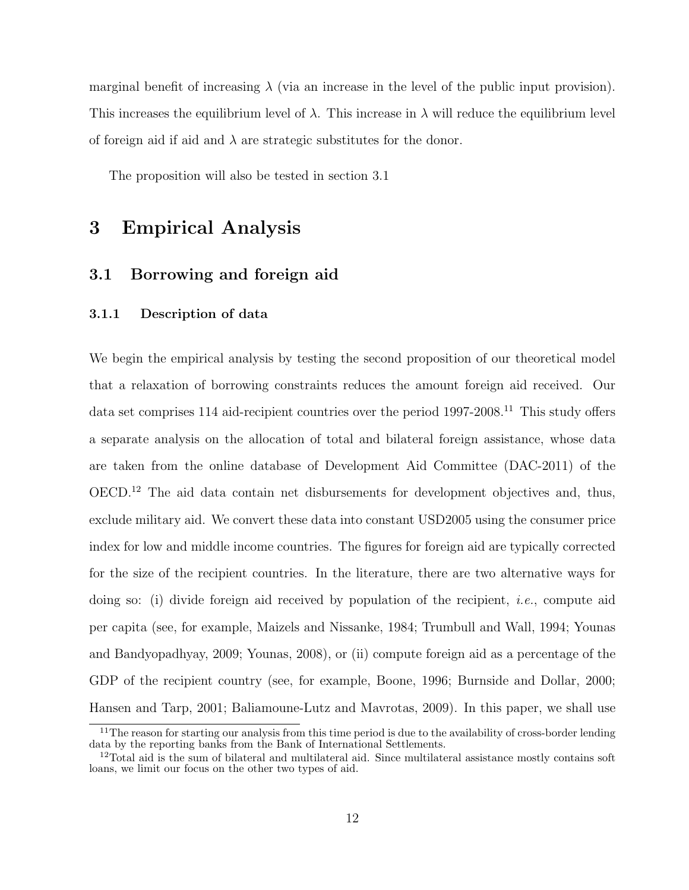marginal benefit of increasing  $\lambda$  (via an increase in the level of the public input provision). This increases the equilibrium level of  $\lambda$ . This increase in  $\lambda$  will reduce the equilibrium level of foreign aid if aid and  $\lambda$  are strategic substitutes for the donor.

The proposition will also be tested in section 3.1

### 3 Empirical Analysis

#### 3.1 Borrowing and foreign aid

#### 3.1.1 Description of data

We begin the empirical analysis by testing the second proposition of our theoretical model that a relaxation of borrowing constraints reduces the amount foreign aid received. Our data set comprises 114 aid-recipient countries over the period 1997-2008.<sup>11</sup> This study offers a separate analysis on the allocation of total and bilateral foreign assistance, whose data are taken from the online database of Development Aid Committee (DAC-2011) of the OECD.<sup>12</sup> The aid data contain net disbursements for development objectives and, thus, exclude military aid. We convert these data into constant USD2005 using the consumer price index for low and middle income countries. The figures for foreign aid are typically corrected for the size of the recipient countries. In the literature, there are two alternative ways for doing so: (i) divide foreign aid received by population of the recipient, i.e., compute aid per capita (see, for example, Maizels and Nissanke, 1984; Trumbull and Wall, 1994; Younas and Bandyopadhyay, 2009; Younas, 2008), or (ii) compute foreign aid as a percentage of the GDP of the recipient country (see, for example, Boone, 1996; Burnside and Dollar, 2000; Hansen and Tarp, 2001; Baliamoune-Lutz and Mavrotas, 2009). In this paper, we shall use

<sup>&</sup>lt;sup>11</sup>The reason for starting our analysis from this time period is due to the availability of cross-border lending data by the reporting banks from the Bank of International Settlements.

<sup>&</sup>lt;sup>12</sup>Total aid is the sum of bilateral and multilateral aid. Since multilateral assistance mostly contains soft loans, we limit our focus on the other two types of aid.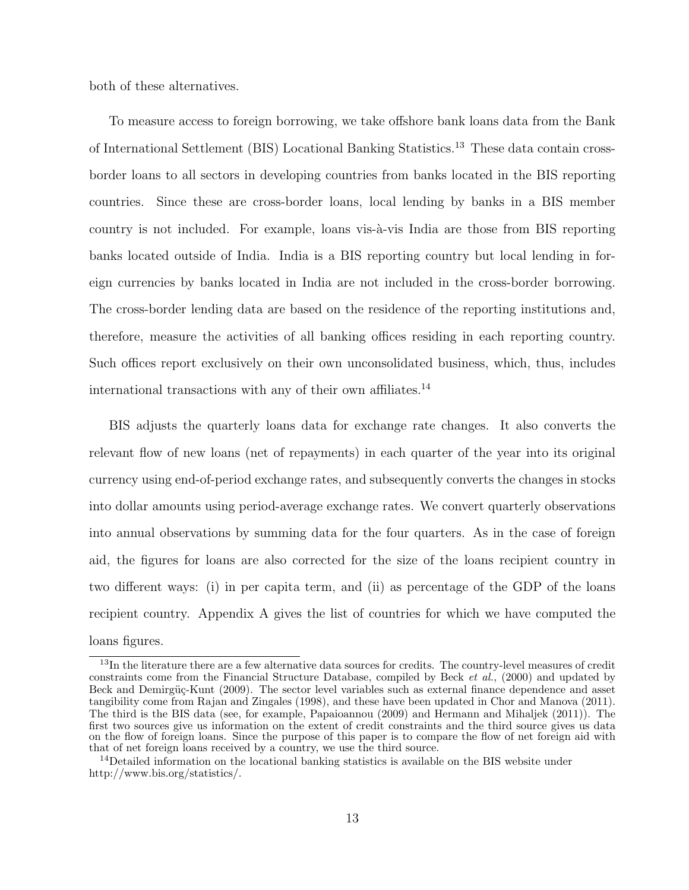both of these alternatives.

To measure access to foreign borrowing, we take offshore bank loans data from the Bank of International Settlement (BIS) Locational Banking Statistics.<sup>13</sup> These data contain crossborder loans to all sectors in developing countries from banks located in the BIS reporting countries. Since these are cross-border loans, local lending by banks in a BIS member country is not included. For example, loans vis- $\grave{a}$ -vis India are those from BIS reporting banks located outside of India. India is a BIS reporting country but local lending in foreign currencies by banks located in India are not included in the cross-border borrowing. The cross-border lending data are based on the residence of the reporting institutions and, therefore, measure the activities of all banking offices residing in each reporting country. Such offices report exclusively on their own unconsolidated business, which, thus, includes international transactions with any of their own affiliates.<sup>14</sup>

BIS adjusts the quarterly loans data for exchange rate changes. It also converts the relevant flow of new loans (net of repayments) in each quarter of the year into its original currency using end-of-period exchange rates, and subsequently converts the changes in stocks into dollar amounts using period-average exchange rates. We convert quarterly observations into annual observations by summing data for the four quarters. As in the case of foreign aid, the figures for loans are also corrected for the size of the loans recipient country in two different ways: (i) in per capita term, and (ii) as percentage of the GDP of the loans recipient country. Appendix A gives the list of countries for which we have computed the loans figures.

<sup>&</sup>lt;sup>13</sup>In the literature there are a few alternative data sources for credits. The country-level measures of credit constraints come from the Financial Structure Database, compiled by Beck et al., (2000) and updated by Beck and Demirgüç-Kunt (2009). The sector level variables such as external finance dependence and asset tangibility come from Rajan and Zingales (1998), and these have been updated in Chor and Manova (2011). The third is the BIS data (see, for example, Papaioannou (2009) and Hermann and Mihaljek (2011)). The first two sources give us information on the extent of credit constraints and the third source gives us data on the flow of foreign loans. Since the purpose of this paper is to compare the flow of net foreign aid with that of net foreign loans received by a country, we use the third source.

<sup>&</sup>lt;sup>14</sup>Detailed information on the locational banking statistics is available on the BIS website under http://www.bis.org/statistics/.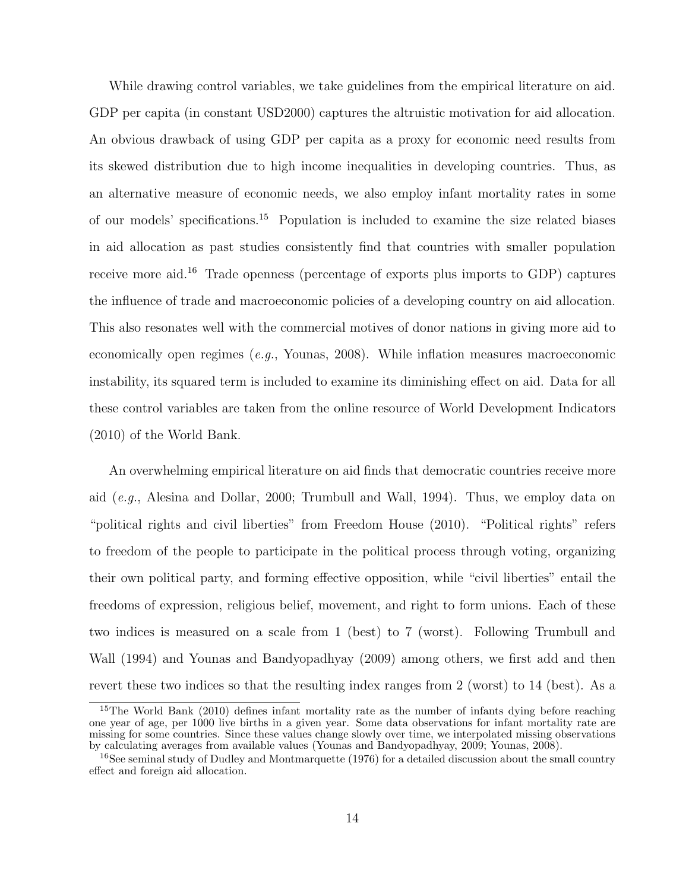While drawing control variables, we take guidelines from the empirical literature on aid. GDP per capita (in constant USD2000) captures the altruistic motivation for aid allocation. An obvious drawback of using GDP per capita as a proxy for economic need results from its skewed distribution due to high income inequalities in developing countries. Thus, as an alternative measure of economic needs, we also employ infant mortality rates in some of our models' specifications.<sup>15</sup> Population is included to examine the size related biases in aid allocation as past studies consistently find that countries with smaller population receive more aid.<sup>16</sup> Trade openness (percentage of exports plus imports to GDP) captures the influence of trade and macroeconomic policies of a developing country on aid allocation. This also resonates well with the commercial motives of donor nations in giving more aid to economically open regimes (e.g., Younas, 2008). While inflation measures macroeconomic instability, its squared term is included to examine its diminishing effect on aid. Data for all these control variables are taken from the online resource of World Development Indicators (2010) of the World Bank.

An overwhelming empirical literature on aid finds that democratic countries receive more aid (e.g., Alesina and Dollar, 2000; Trumbull and Wall, 1994). Thus, we employ data on "political rights and civil liberties" from Freedom House (2010). "Political rights" refers to freedom of the people to participate in the political process through voting, organizing their own political party, and forming effective opposition, while "civil liberties" entail the freedoms of expression, religious belief, movement, and right to form unions. Each of these two indices is measured on a scale from 1 (best) to 7 (worst). Following Trumbull and Wall (1994) and Younas and Bandyopadhyay (2009) among others, we first add and then revert these two indices so that the resulting index ranges from 2 (worst) to 14 (best). As a

<sup>&</sup>lt;sup>15</sup>The World Bank (2010) defines infant mortality rate as the number of infants dying before reaching one year of age, per 1000 live births in a given year. Some data observations for infant mortality rate are missing for some countries. Since these values change slowly over time, we interpolated missing observations by calculating averages from available values (Younas and Bandyopadhyay, 2009; Younas, 2008).

<sup>&</sup>lt;sup>16</sup>See seminal study of Dudley and Montmarquette (1976) for a detailed discussion about the small country effect and foreign aid allocation.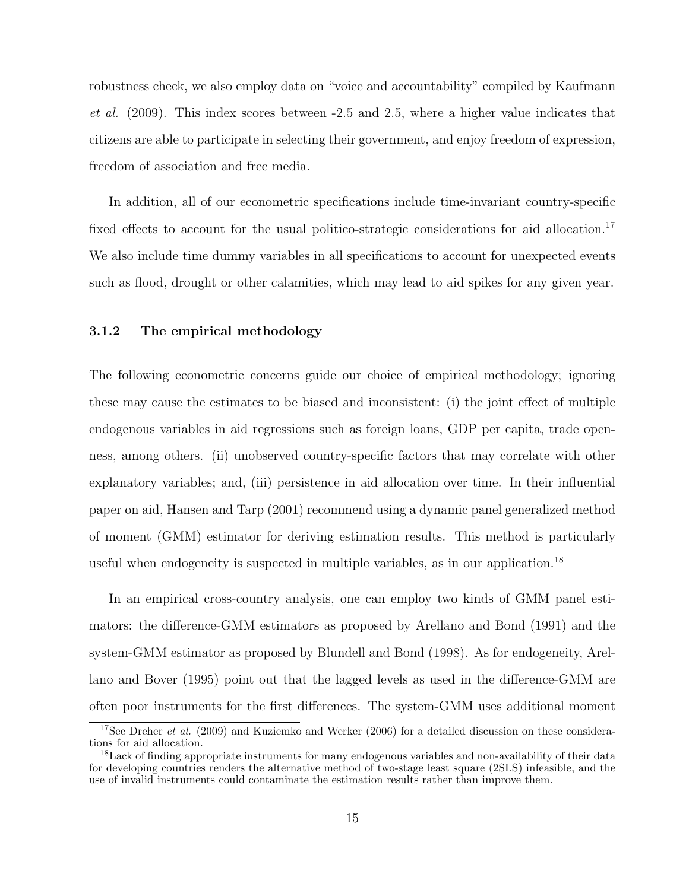robustness check, we also employ data on "voice and accountability" compiled by Kaufmann et al. (2009). This index scores between -2.5 and 2.5, where a higher value indicates that citizens are able to participate in selecting their government, and enjoy freedom of expression, freedom of association and free media.

In addition, all of our econometric specifications include time-invariant country-specific fixed effects to account for the usual politico-strategic considerations for aid allocation.<sup>17</sup> We also include time dummy variables in all specifications to account for unexpected events such as flood, drought or other calamities, which may lead to aid spikes for any given year.

#### 3.1.2 The empirical methodology

The following econometric concerns guide our choice of empirical methodology; ignoring these may cause the estimates to be biased and inconsistent: (i) the joint effect of multiple endogenous variables in aid regressions such as foreign loans, GDP per capita, trade openness, among others. (ii) unobserved country-specific factors that may correlate with other explanatory variables; and, (iii) persistence in aid allocation over time. In their influential paper on aid, Hansen and Tarp (2001) recommend using a dynamic panel generalized method of moment (GMM) estimator for deriving estimation results. This method is particularly useful when endogeneity is suspected in multiple variables, as in our application.<sup>18</sup>

In an empirical cross-country analysis, one can employ two kinds of GMM panel estimators: the difference-GMM estimators as proposed by Arellano and Bond (1991) and the system-GMM estimator as proposed by Blundell and Bond (1998). As for endogeneity, Arellano and Bover (1995) point out that the lagged levels as used in the difference-GMM are often poor instruments for the first differences. The system-GMM uses additional moment

<sup>&</sup>lt;sup>17</sup>See Dreher *et al.* (2009) and Kuziemko and Werker (2006) for a detailed discussion on these considerations for aid allocation.

<sup>&</sup>lt;sup>18</sup> Lack of finding appropriate instruments for many endogenous variables and non-availability of their data for developing countries renders the alternative method of two-stage least square (2SLS) infeasible, and the use of invalid instruments could contaminate the estimation results rather than improve them.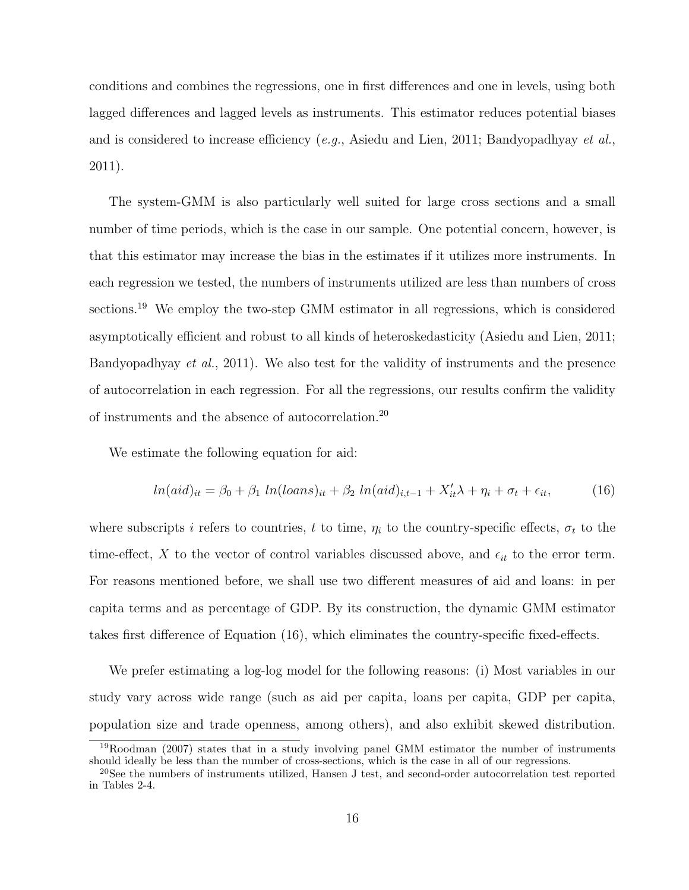conditions and combines the regressions, one in first differences and one in levels, using both lagged differences and lagged levels as instruments. This estimator reduces potential biases and is considered to increase efficiency  $(e.g.,$  Asiedu and Lien, 2011; Bandyopadhyay  $et al.,$ 2011).

The system-GMM is also particularly well suited for large cross sections and a small number of time periods, which is the case in our sample. One potential concern, however, is that this estimator may increase the bias in the estimates if it utilizes more instruments. In each regression we tested, the numbers of instruments utilized are less than numbers of cross sections.<sup>19</sup> We employ the two-step GMM estimator in all regressions, which is considered asymptotically efficient and robust to all kinds of heteroskedasticity (Asiedu and Lien, 2011; Bandyopadhyay et al., 2011). We also test for the validity of instruments and the presence of autocorrelation in each regression. For all the regressions, our results confirm the validity of instruments and the absence of autocorrelation.<sup>20</sup>

We estimate the following equation for aid:

$$
ln(aid)_{it} = \beta_0 + \beta_1 ln(loans)_{it} + \beta_2 ln(aid)_{i,t-1} + X'_{it}\lambda + \eta_i + \sigma_t + \epsilon_{it},
$$
\n(16)

where subscripts i refers to countries, t to time,  $\eta_i$  to the country-specific effects,  $\sigma_t$  to the time-effect, X to the vector of control variables discussed above, and  $\epsilon_{it}$  to the error term. For reasons mentioned before, we shall use two different measures of aid and loans: in per capita terms and as percentage of GDP. By its construction, the dynamic GMM estimator takes first difference of Equation (16), which eliminates the country-specific fixed-effects.

We prefer estimating a log-log model for the following reasons: (i) Most variables in our study vary across wide range (such as aid per capita, loans per capita, GDP per capita, population size and trade openness, among others), and also exhibit skewed distribution.

<sup>&</sup>lt;sup>19</sup>Roodman (2007) states that in a study involving panel GMM estimator the number of instruments should ideally be less than the number of cross-sections, which is the case in all of our regressions.

<sup>20</sup>See the numbers of instruments utilized, Hansen J test, and second-order autocorrelation test reported in Tables 2-4.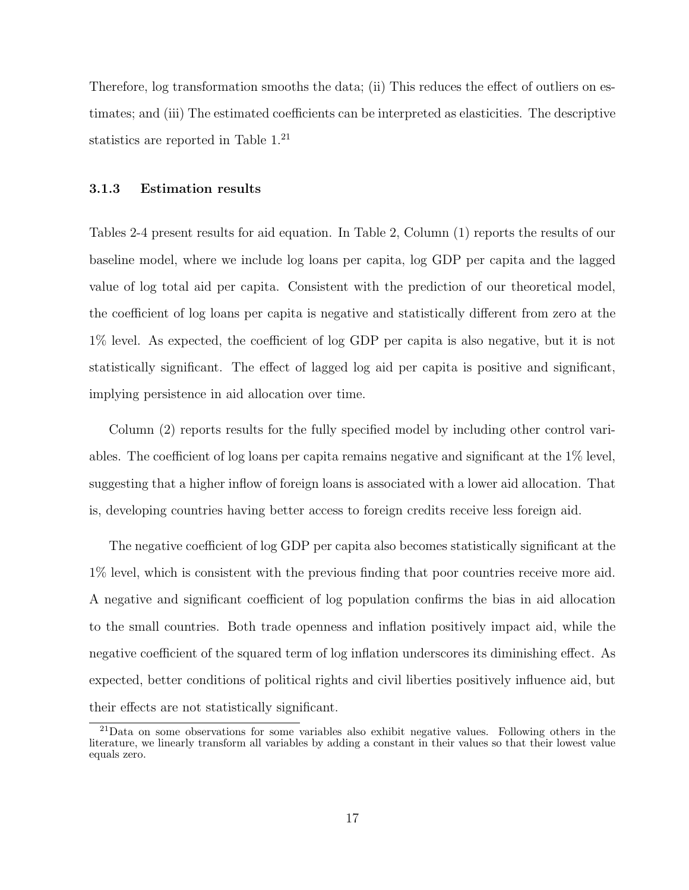Therefore, log transformation smooths the data; (ii) This reduces the effect of outliers on estimates; and (iii) The estimated coefficients can be interpreted as elasticities. The descriptive statistics are reported in Table 1.<sup>21</sup>

#### 3.1.3 Estimation results

Tables 2-4 present results for aid equation. In Table 2, Column (1) reports the results of our baseline model, where we include log loans per capita, log GDP per capita and the lagged value of log total aid per capita. Consistent with the prediction of our theoretical model, the coefficient of log loans per capita is negative and statistically different from zero at the 1% level. As expected, the coefficient of log GDP per capita is also negative, but it is not statistically significant. The effect of lagged log aid per capita is positive and significant, implying persistence in aid allocation over time.

Column (2) reports results for the fully specified model by including other control variables. The coefficient of log loans per capita remains negative and significant at the 1% level, suggesting that a higher inflow of foreign loans is associated with a lower aid allocation. That is, developing countries having better access to foreign credits receive less foreign aid.

The negative coefficient of log GDP per capita also becomes statistically significant at the 1% level, which is consistent with the previous finding that poor countries receive more aid. A negative and significant coefficient of log population confirms the bias in aid allocation to the small countries. Both trade openness and inflation positively impact aid, while the negative coefficient of the squared term of log inflation underscores its diminishing effect. As expected, better conditions of political rights and civil liberties positively influence aid, but their effects are not statistically significant.

<sup>21</sup>Data on some observations for some variables also exhibit negative values. Following others in the literature, we linearly transform all variables by adding a constant in their values so that their lowest value equals zero.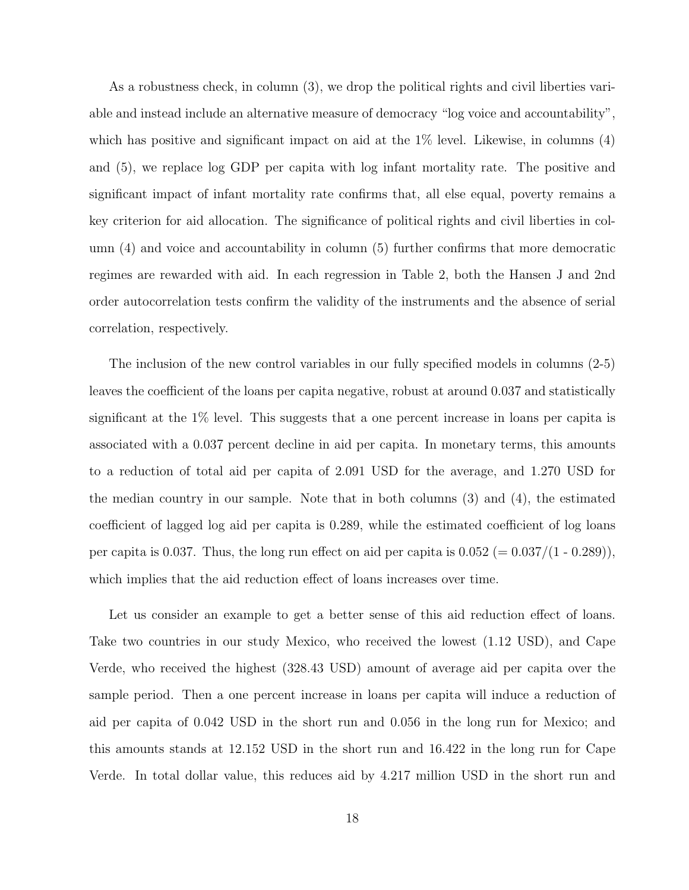As a robustness check, in column (3), we drop the political rights and civil liberties variable and instead include an alternative measure of democracy "log voice and accountability", which has positive and significant impact on aid at the  $1\%$  level. Likewise, in columns (4) and (5), we replace log GDP per capita with log infant mortality rate. The positive and significant impact of infant mortality rate confirms that, all else equal, poverty remains a key criterion for aid allocation. The significance of political rights and civil liberties in column (4) and voice and accountability in column (5) further confirms that more democratic regimes are rewarded with aid. In each regression in Table 2, both the Hansen J and 2nd order autocorrelation tests confirm the validity of the instruments and the absence of serial correlation, respectively.

The inclusion of the new control variables in our fully specified models in columns (2-5) leaves the coefficient of the loans per capita negative, robust at around 0.037 and statistically significant at the 1% level. This suggests that a one percent increase in loans per capita is associated with a 0.037 percent decline in aid per capita. In monetary terms, this amounts to a reduction of total aid per capita of 2.091 USD for the average, and 1.270 USD for the median country in our sample. Note that in both columns (3) and (4), the estimated coefficient of lagged log aid per capita is 0.289, while the estimated coefficient of log loans per capita is 0.037. Thus, the long run effect on aid per capita is  $0.052 (= 0.037/(1 - 0.289))$ , which implies that the aid reduction effect of loans increases over time.

Let us consider an example to get a better sense of this aid reduction effect of loans. Take two countries in our study Mexico, who received the lowest (1.12 USD), and Cape Verde, who received the highest (328.43 USD) amount of average aid per capita over the sample period. Then a one percent increase in loans per capita will induce a reduction of aid per capita of 0.042 USD in the short run and 0.056 in the long run for Mexico; and this amounts stands at 12.152 USD in the short run and 16.422 in the long run for Cape Verde. In total dollar value, this reduces aid by 4.217 million USD in the short run and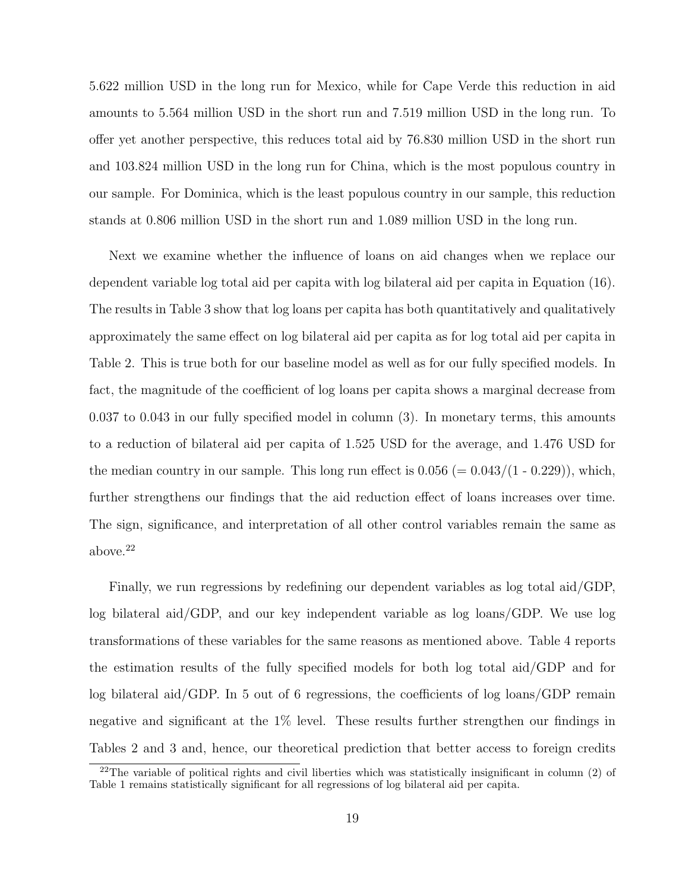5.622 million USD in the long run for Mexico, while for Cape Verde this reduction in aid amounts to 5.564 million USD in the short run and 7.519 million USD in the long run. To offer yet another perspective, this reduces total aid by 76.830 million USD in the short run and 103.824 million USD in the long run for China, which is the most populous country in our sample. For Dominica, which is the least populous country in our sample, this reduction stands at 0.806 million USD in the short run and 1.089 million USD in the long run.

Next we examine whether the influence of loans on aid changes when we replace our dependent variable log total aid per capita with log bilateral aid per capita in Equation (16). The results in Table 3 show that log loans per capita has both quantitatively and qualitatively approximately the same effect on log bilateral aid per capita as for log total aid per capita in Table 2. This is true both for our baseline model as well as for our fully specified models. In fact, the magnitude of the coefficient of log loans per capita shows a marginal decrease from 0.037 to 0.043 in our fully specified model in column (3). In monetary terms, this amounts to a reduction of bilateral aid per capita of 1.525 USD for the average, and 1.476 USD for the median country in our sample. This long run effect is  $0.056 (= 0.043/(1 - 0.229))$ , which, further strengthens our findings that the aid reduction effect of loans increases over time. The sign, significance, and interpretation of all other control variables remain the same as above.<sup>22</sup>

Finally, we run regressions by redefining our dependent variables as log total aid/GDP, log bilateral aid/GDP, and our key independent variable as log loans/GDP. We use log transformations of these variables for the same reasons as mentioned above. Table 4 reports the estimation results of the fully specified models for both log total aid/GDP and for log bilateral aid/GDP. In 5 out of 6 regressions, the coefficients of log loans/GDP remain negative and significant at the 1% level. These results further strengthen our findings in Tables 2 and 3 and, hence, our theoretical prediction that better access to foreign credits

 $22$ The variable of political rights and civil liberties which was statistically insignificant in column (2) of Table 1 remains statistically significant for all regressions of log bilateral aid per capita.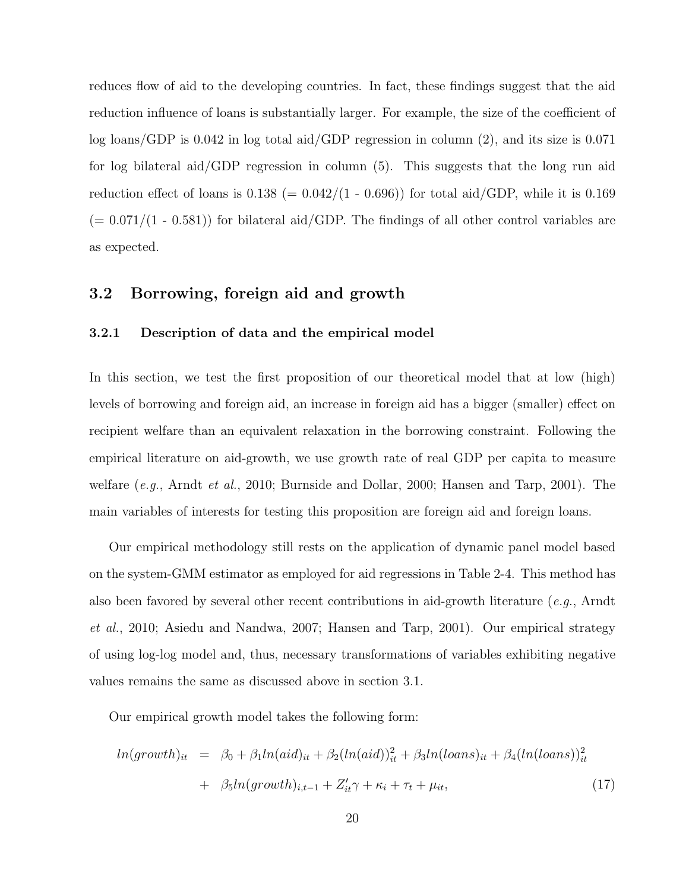reduces flow of aid to the developing countries. In fact, these findings suggest that the aid reduction influence of loans is substantially larger. For example, the size of the coefficient of log loans/GDP is 0.042 in log total aid/GDP regression in column (2), and its size is 0.071 for log bilateral aid/GDP regression in column (5). This suggests that the long run aid reduction effect of loans is  $0.138$  (=  $0.042/(1 - 0.696)$ ) for total aid/GDP, while it is 0.169  $(= 0.071/(1 - 0.581))$  for bilateral aid/GDP. The findings of all other control variables are as expected.

#### 3.2 Borrowing, foreign aid and growth

#### 3.2.1 Description of data and the empirical model

In this section, we test the first proposition of our theoretical model that at low (high) levels of borrowing and foreign aid, an increase in foreign aid has a bigger (smaller) effect on recipient welfare than an equivalent relaxation in the borrowing constraint. Following the empirical literature on aid-growth, we use growth rate of real GDP per capita to measure welfare  $(e,q, \text{ Arndt } et al., 2010; \text{ Burnside and Dollar}, 2000; \text{ Hansen and Tarp}, 2001).$  The main variables of interests for testing this proposition are foreign aid and foreign loans.

Our empirical methodology still rests on the application of dynamic panel model based on the system-GMM estimator as employed for aid regressions in Table 2-4. This method has also been favored by several other recent contributions in aid-growth literature (e.g., Arndt et al., 2010; Asiedu and Nandwa, 2007; Hansen and Tarp, 2001). Our empirical strategy of using log-log model and, thus, necessary transformations of variables exhibiting negative values remains the same as discussed above in section 3.1.

Our empirical growth model takes the following form:

$$
ln(growth)_{it} = \beta_0 + \beta_1 ln(ai d)_{it} + \beta_2 (ln(ai d))_{it}^2 + \beta_3 ln(loans)_{it} + \beta_4 (ln(loans))_{it}^2
$$

$$
+ \beta_5 ln(growth)_{i,t-1} + Z_{it}'\gamma + \kappa_i + \tau_t + \mu_{it}, \qquad (17)
$$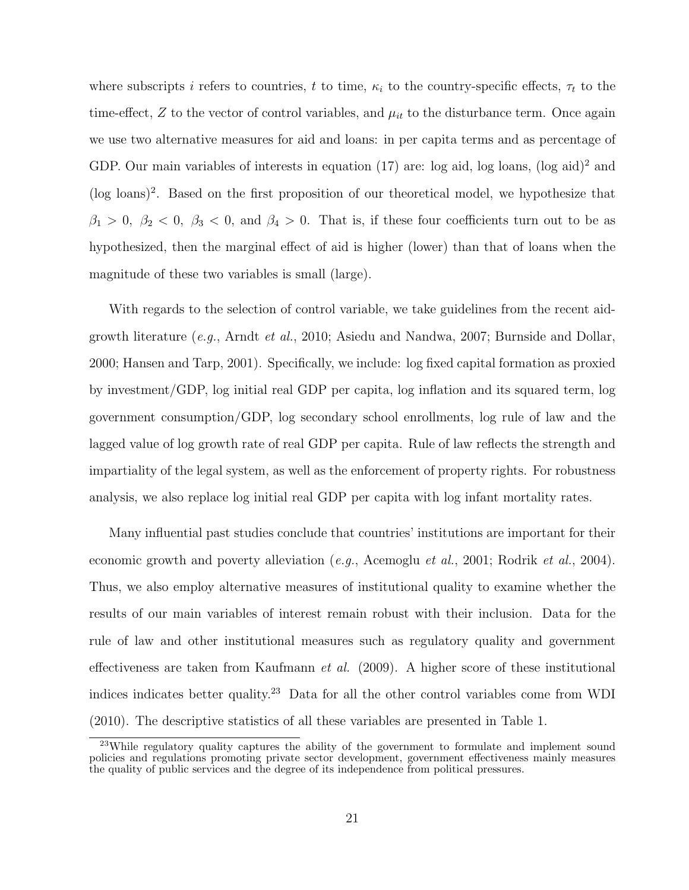where subscripts i refers to countries, t to time,  $\kappa_i$  to the country-specific effects,  $\tau_t$  to the time-effect,  $Z$  to the vector of control variables, and  $\mu_{it}$  to the disturbance term. Once again we use two alternative measures for aid and loans: in per capita terms and as percentage of GDP. Our main variables of interests in equation  $(17)$  are: log aid, log loans,  $(\log \text{aid})^2$  and (log loans)<sup>2</sup> . Based on the first proposition of our theoretical model, we hypothesize that  $\beta_1 > 0$ ,  $\beta_2 < 0$ ,  $\beta_3 < 0$ , and  $\beta_4 > 0$ . That is, if these four coefficients turn out to be as hypothesized, then the marginal effect of aid is higher (lower) than that of loans when the magnitude of these two variables is small (large).

With regards to the selection of control variable, we take guidelines from the recent aidgrowth literature (e.g., Arndt et al., 2010; Asiedu and Nandwa, 2007; Burnside and Dollar, 2000; Hansen and Tarp, 2001). Specifically, we include: log fixed capital formation as proxied by investment/GDP, log initial real GDP per capita, log inflation and its squared term, log government consumption/GDP, log secondary school enrollments, log rule of law and the lagged value of log growth rate of real GDP per capita. Rule of law reflects the strength and impartiality of the legal system, as well as the enforcement of property rights. For robustness analysis, we also replace log initial real GDP per capita with log infant mortality rates.

Many influential past studies conclude that countries' institutions are important for their economic growth and poverty alleviation (*e.g.*, Acemoglu *et al.*, 2001; Rodrik *et al.*, 2004). Thus, we also employ alternative measures of institutional quality to examine whether the results of our main variables of interest remain robust with their inclusion. Data for the rule of law and other institutional measures such as regulatory quality and government effectiveness are taken from Kaufmann et al. (2009). A higher score of these institutional indices indicates better quality.<sup>23</sup> Data for all the other control variables come from WDI (2010). The descriptive statistics of all these variables are presented in Table 1.

<sup>&</sup>lt;sup>23</sup>While regulatory quality captures the ability of the government to formulate and implement sound policies and regulations promoting private sector development, government effectiveness mainly measures the quality of public services and the degree of its independence from political pressures.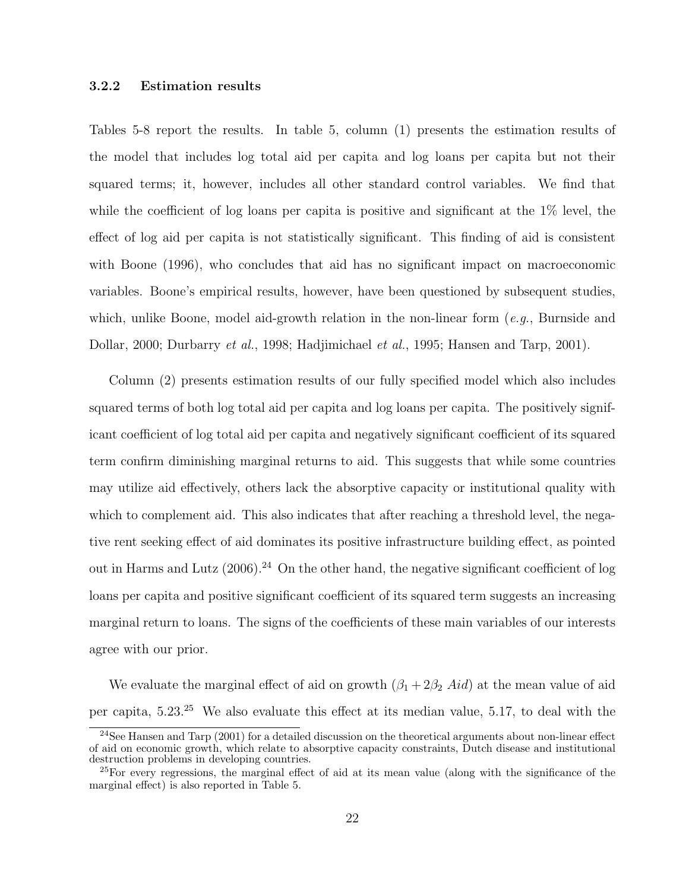#### 3.2.2 Estimation results

Tables 5-8 report the results. In table 5, column (1) presents the estimation results of the model that includes log total aid per capita and log loans per capita but not their squared terms; it, however, includes all other standard control variables. We find that while the coefficient of log loans per capita is positive and significant at the 1% level, the effect of log aid per capita is not statistically significant. This finding of aid is consistent with Boone (1996), who concludes that aid has no significant impact on macroeconomic variables. Boone's empirical results, however, have been questioned by subsequent studies, which, unlike Boone, model aid-growth relation in the non-linear form  $(e.g.,$  Burnside and Dollar, 2000; Durbarry et al., 1998; Hadjimichael et al., 1995; Hansen and Tarp, 2001).

Column (2) presents estimation results of our fully specified model which also includes squared terms of both log total aid per capita and log loans per capita. The positively significant coefficient of log total aid per capita and negatively significant coefficient of its squared term confirm diminishing marginal returns to aid. This suggests that while some countries may utilize aid effectively, others lack the absorptive capacity or institutional quality with which to complement aid. This also indicates that after reaching a threshold level, the negative rent seeking effect of aid dominates its positive infrastructure building effect, as pointed out in Harms and Lutz  $(2006)$ .<sup>24</sup> On the other hand, the negative significant coefficient of log loans per capita and positive significant coefficient of its squared term suggests an increasing marginal return to loans. The signs of the coefficients of these main variables of our interests agree with our prior.

We evaluate the marginal effect of aid on growth  $(\beta_1 + 2\beta_2 \text{ } Aid)$  at the mean value of aid per capita, 5.23.<sup>25</sup> We also evaluate this effect at its median value, 5.17, to deal with the

 $24$ See Hansen and Tarp (2001) for a detailed discussion on the theoretical arguments about non-linear effect of aid on economic growth, which relate to absorptive capacity constraints, Dutch disease and institutional destruction problems in developing countries.

<sup>25</sup>For every regressions, the marginal effect of aid at its mean value (along with the significance of the marginal effect) is also reported in Table 5.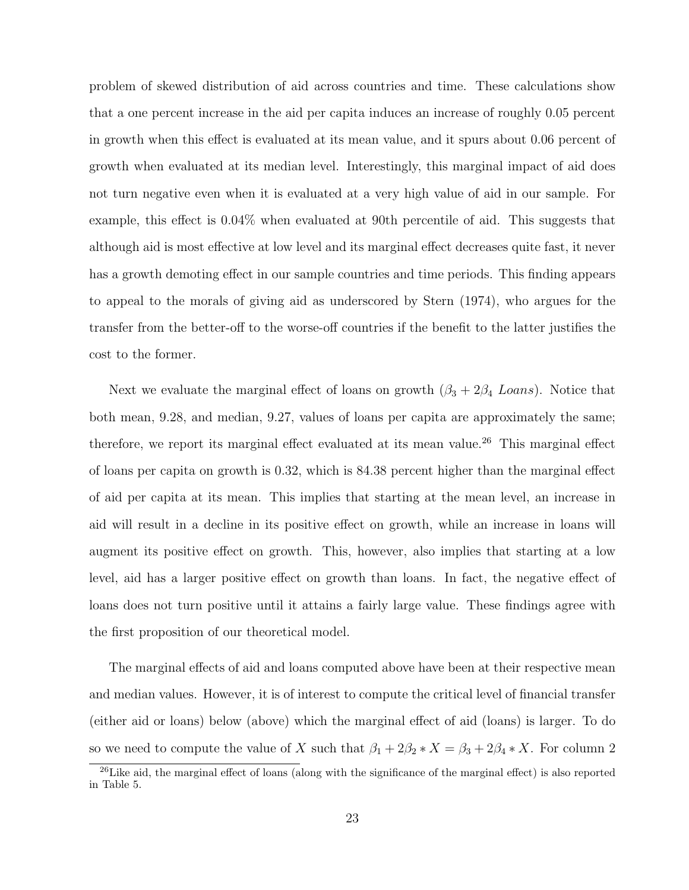problem of skewed distribution of aid across countries and time. These calculations show that a one percent increase in the aid per capita induces an increase of roughly 0.05 percent in growth when this effect is evaluated at its mean value, and it spurs about 0.06 percent of growth when evaluated at its median level. Interestingly, this marginal impact of aid does not turn negative even when it is evaluated at a very high value of aid in our sample. For example, this effect is 0.04% when evaluated at 90th percentile of aid. This suggests that although aid is most effective at low level and its marginal effect decreases quite fast, it never has a growth demoting effect in our sample countries and time periods. This finding appears to appeal to the morals of giving aid as underscored by Stern (1974), who argues for the transfer from the better-off to the worse-off countries if the benefit to the latter justifies the cost to the former.

Next we evaluate the marginal effect of loans on growth  $(\beta_3 + 2\beta_4 \text{ L}oans)$ . Notice that both mean, 9.28, and median, 9.27, values of loans per capita are approximately the same; therefore, we report its marginal effect evaluated at its mean value.<sup>26</sup> This marginal effect of loans per capita on growth is 0.32, which is 84.38 percent higher than the marginal effect of aid per capita at its mean. This implies that starting at the mean level, an increase in aid will result in a decline in its positive effect on growth, while an increase in loans will augment its positive effect on growth. This, however, also implies that starting at a low level, aid has a larger positive effect on growth than loans. In fact, the negative effect of loans does not turn positive until it attains a fairly large value. These findings agree with the first proposition of our theoretical model.

The marginal effects of aid and loans computed above have been at their respective mean and median values. However, it is of interest to compute the critical level of financial transfer (either aid or loans) below (above) which the marginal effect of aid (loans) is larger. To do so we need to compute the value of X such that  $\beta_1 + 2\beta_2 * X = \beta_3 + 2\beta_4 * X$ . For column 2

<sup>&</sup>lt;sup>26</sup>Like aid, the marginal effect of loans (along with the significance of the marginal effect) is also reported in Table 5.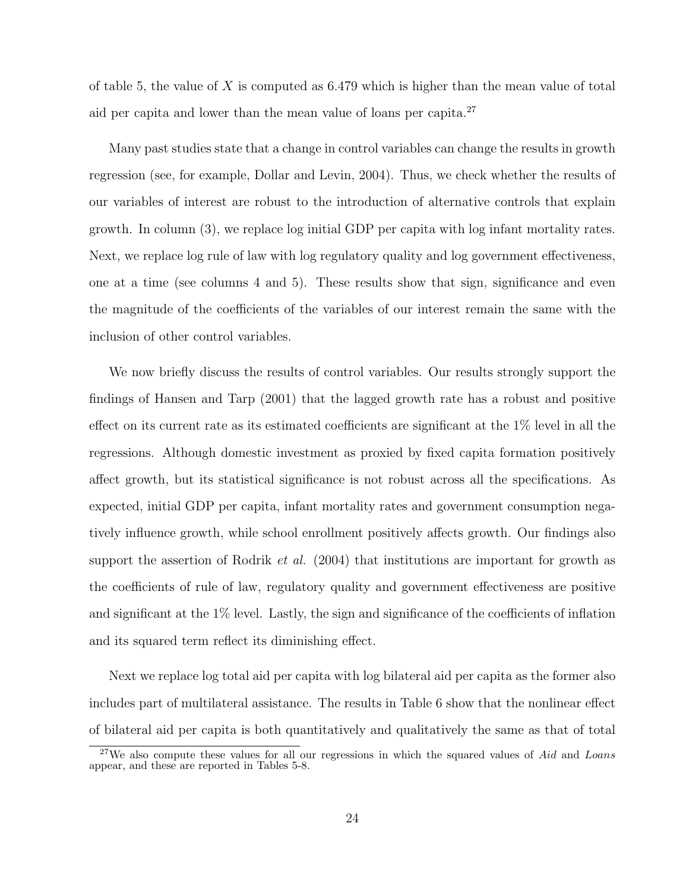of table 5, the value of X is computed as  $6.479$  which is higher than the mean value of total aid per capita and lower than the mean value of loans per capita. $27$ 

Many past studies state that a change in control variables can change the results in growth regression (see, for example, Dollar and Levin, 2004). Thus, we check whether the results of our variables of interest are robust to the introduction of alternative controls that explain growth. In column (3), we replace log initial GDP per capita with log infant mortality rates. Next, we replace log rule of law with log regulatory quality and log government effectiveness, one at a time (see columns 4 and 5). These results show that sign, significance and even the magnitude of the coefficients of the variables of our interest remain the same with the inclusion of other control variables.

We now briefly discuss the results of control variables. Our results strongly support the findings of Hansen and Tarp (2001) that the lagged growth rate has a robust and positive effect on its current rate as its estimated coefficients are significant at the 1% level in all the regressions. Although domestic investment as proxied by fixed capita formation positively affect growth, but its statistical significance is not robust across all the specifications. As expected, initial GDP per capita, infant mortality rates and government consumption negatively influence growth, while school enrollment positively affects growth. Our findings also support the assertion of Rodrik *et al.* (2004) that institutions are important for growth as the coefficients of rule of law, regulatory quality and government effectiveness are positive and significant at the 1% level. Lastly, the sign and significance of the coefficients of inflation and its squared term reflect its diminishing effect.

Next we replace log total aid per capita with log bilateral aid per capita as the former also includes part of multilateral assistance. The results in Table 6 show that the nonlinear effect of bilateral aid per capita is both quantitatively and qualitatively the same as that of total

 $27$ We also compute these values for all our regressions in which the squared values of Aid and Loans appear, and these are reported in Tables 5-8.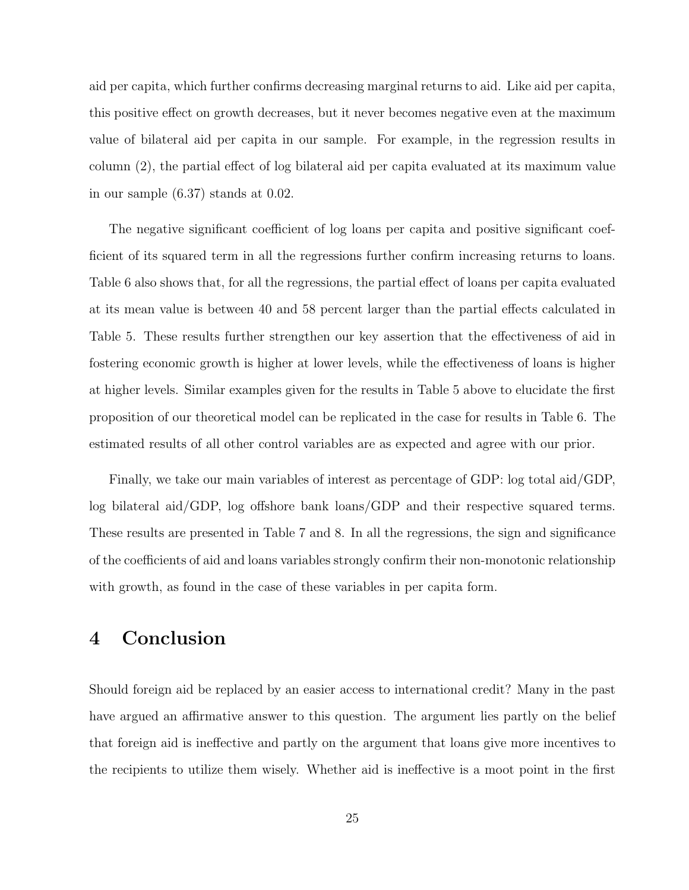aid per capita, which further confirms decreasing marginal returns to aid. Like aid per capita, this positive effect on growth decreases, but it never becomes negative even at the maximum value of bilateral aid per capita in our sample. For example, in the regression results in column (2), the partial effect of log bilateral aid per capita evaluated at its maximum value in our sample (6.37) stands at 0.02.

The negative significant coefficient of log loans per capita and positive significant coefficient of its squared term in all the regressions further confirm increasing returns to loans. Table 6 also shows that, for all the regressions, the partial effect of loans per capita evaluated at its mean value is between 40 and 58 percent larger than the partial effects calculated in Table 5. These results further strengthen our key assertion that the effectiveness of aid in fostering economic growth is higher at lower levels, while the effectiveness of loans is higher at higher levels. Similar examples given for the results in Table 5 above to elucidate the first proposition of our theoretical model can be replicated in the case for results in Table 6. The estimated results of all other control variables are as expected and agree with our prior.

Finally, we take our main variables of interest as percentage of GDP: log total aid/GDP, log bilateral aid/GDP, log offshore bank loans/GDP and their respective squared terms. These results are presented in Table 7 and 8. In all the regressions, the sign and significance of the coefficients of aid and loans variables strongly confirm their non-monotonic relationship with growth, as found in the case of these variables in per capita form.

### 4 Conclusion

Should foreign aid be replaced by an easier access to international credit? Many in the past have argued an affirmative answer to this question. The argument lies partly on the belief that foreign aid is ineffective and partly on the argument that loans give more incentives to the recipients to utilize them wisely. Whether aid is ineffective is a moot point in the first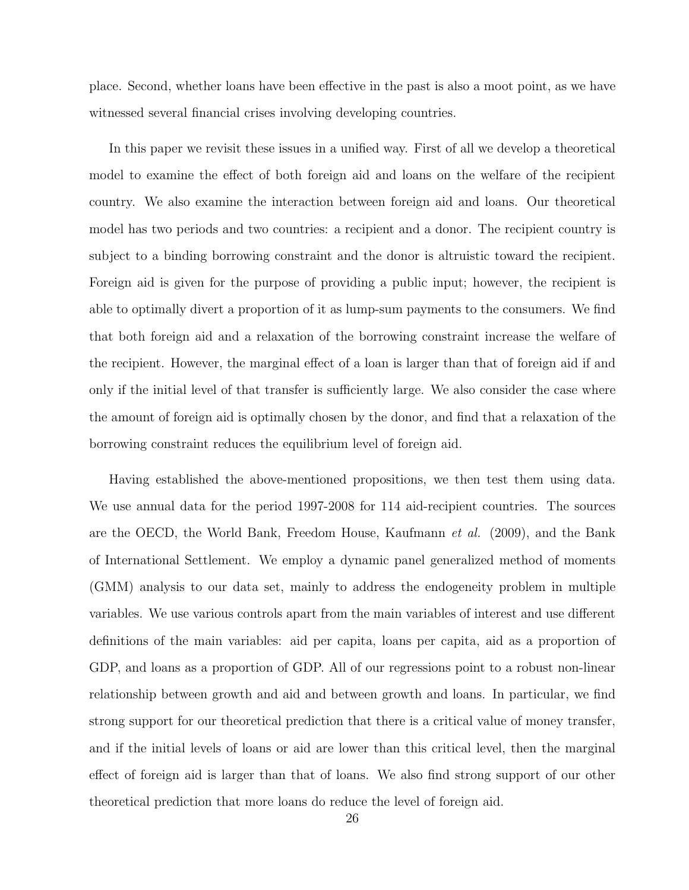place. Second, whether loans have been effective in the past is also a moot point, as we have witnessed several financial crises involving developing countries.

In this paper we revisit these issues in a unified way. First of all we develop a theoretical model to examine the effect of both foreign aid and loans on the welfare of the recipient country. We also examine the interaction between foreign aid and loans. Our theoretical model has two periods and two countries: a recipient and a donor. The recipient country is subject to a binding borrowing constraint and the donor is altruistic toward the recipient. Foreign aid is given for the purpose of providing a public input; however, the recipient is able to optimally divert a proportion of it as lump-sum payments to the consumers. We find that both foreign aid and a relaxation of the borrowing constraint increase the welfare of the recipient. However, the marginal effect of a loan is larger than that of foreign aid if and only if the initial level of that transfer is sufficiently large. We also consider the case where the amount of foreign aid is optimally chosen by the donor, and find that a relaxation of the borrowing constraint reduces the equilibrium level of foreign aid.

Having established the above-mentioned propositions, we then test them using data. We use annual data for the period 1997-2008 for 114 aid-recipient countries. The sources are the OECD, the World Bank, Freedom House, Kaufmann et al. (2009), and the Bank of International Settlement. We employ a dynamic panel generalized method of moments (GMM) analysis to our data set, mainly to address the endogeneity problem in multiple variables. We use various controls apart from the main variables of interest and use different definitions of the main variables: aid per capita, loans per capita, aid as a proportion of GDP, and loans as a proportion of GDP. All of our regressions point to a robust non-linear relationship between growth and aid and between growth and loans. In particular, we find strong support for our theoretical prediction that there is a critical value of money transfer, and if the initial levels of loans or aid are lower than this critical level, then the marginal effect of foreign aid is larger than that of loans. We also find strong support of our other theoretical prediction that more loans do reduce the level of foreign aid.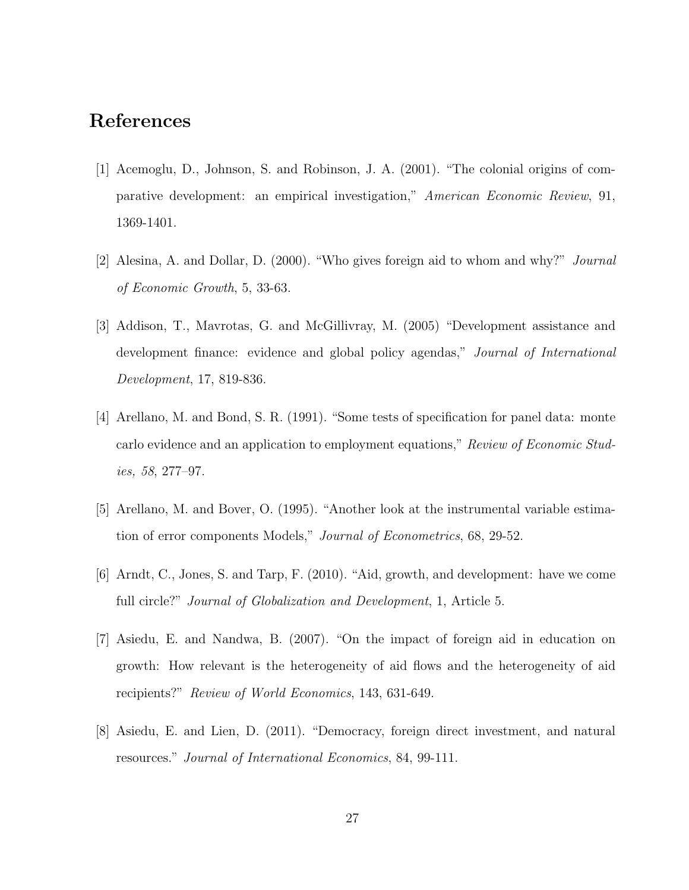### References

- [1] Acemoglu, D., Johnson, S. and Robinson, J. A. (2001). "The colonial origins of comparative development: an empirical investigation," American Economic Review, 91, 1369-1401.
- [2] Alesina, A. and Dollar, D. (2000). "Who gives foreign aid to whom and why?" Journal of Economic Growth, 5, 33-63.
- [3] Addison, T., Mavrotas, G. and McGillivray, M. (2005) "Development assistance and development finance: evidence and global policy agendas," Journal of International Development, 17, 819-836.
- [4] Arellano, M. and Bond, S. R. (1991). "Some tests of specification for panel data: monte carlo evidence and an application to employment equations," Review of Economic Studies, 58, 277–97.
- [5] Arellano, M. and Bover, O. (1995). "Another look at the instrumental variable estimation of error components Models," Journal of Econometrics, 68, 29-52.
- [6] Arndt, C., Jones, S. and Tarp, F. (2010). "Aid, growth, and development: have we come full circle?" *Journal of Globalization and Development*, 1, Article 5.
- [7] Asiedu, E. and Nandwa, B. (2007). "On the impact of foreign aid in education on growth: How relevant is the heterogeneity of aid flows and the heterogeneity of aid recipients?" Review of World Economics, 143, 631-649.
- [8] Asiedu, E. and Lien, D. (2011). "Democracy, foreign direct investment, and natural resources." Journal of International Economics, 84, 99-111.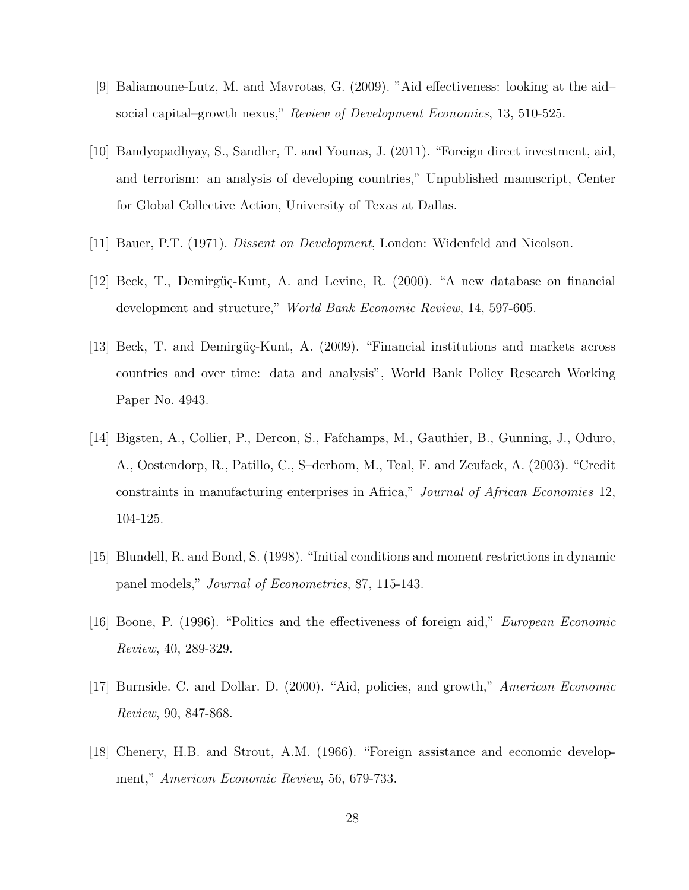- [9] Baliamoune-Lutz, M. and Mavrotas, G. (2009). "Aid effectiveness: looking at the aid– social capital–growth nexus," Review of Development Economics, 13, 510-525.
- [10] Bandyopadhyay, S., Sandler, T. and Younas, J. (2011). "Foreign direct investment, aid, and terrorism: an analysis of developing countries," Unpublished manuscript, Center for Global Collective Action, University of Texas at Dallas.
- [11] Bauer, P.T. (1971). Dissent on Development, London: Widenfeld and Nicolson.
- [12] Beck, T., Demirgüç-Kunt, A. and Levine, R. (2000). "A new database on financial development and structure," World Bank Economic Review, 14, 597-605.
- [13] Beck, T. and Demirgüç-Kunt, A. (2009). "Financial institutions and markets across countries and over time: data and analysis", World Bank Policy Research Working Paper No. 4943.
- [14] Bigsten, A., Collier, P., Dercon, S., Fafchamps, M., Gauthier, B., Gunning, J., Oduro, A., Oostendorp, R., Patillo, C., S–derbom, M., Teal, F. and Zeufack, A. (2003). "Credit constraints in manufacturing enterprises in Africa," Journal of African Economies 12, 104-125.
- [15] Blundell, R. and Bond, S. (1998). "Initial conditions and moment restrictions in dynamic panel models," Journal of Econometrics, 87, 115-143.
- [16] Boone, P. (1996). "Politics and the effectiveness of foreign aid," European Economic Review, 40, 289-329.
- [17] Burnside. C. and Dollar. D. (2000). "Aid, policies, and growth," American Economic Review, 90, 847-868.
- [18] Chenery, H.B. and Strout, A.M. (1966). "Foreign assistance and economic development," American Economic Review, 56, 679-733.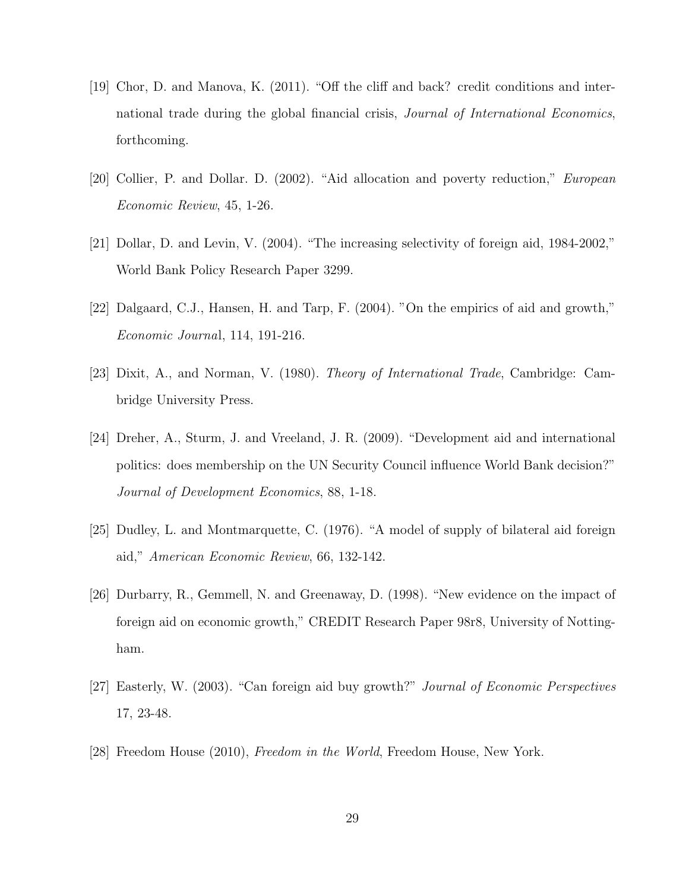- [19] Chor, D. and Manova, K. (2011). "Off the cliff and back? credit conditions and international trade during the global financial crisis, *Journal of International Economics*, forthcoming.
- [20] Collier, P. and Dollar. D. (2002). "Aid allocation and poverty reduction," European Economic Review, 45, 1-26.
- [21] Dollar, D. and Levin, V. (2004). "The increasing selectivity of foreign aid, 1984-2002," World Bank Policy Research Paper 3299.
- [22] Dalgaard, C.J., Hansen, H. and Tarp, F. (2004). "On the empirics of aid and growth," Economic Journal, 114, 191-216.
- [23] Dixit, A., and Norman, V. (1980). Theory of International Trade, Cambridge: Cambridge University Press.
- [24] Dreher, A., Sturm, J. and Vreeland, J. R. (2009). "Development aid and international politics: does membership on the UN Security Council influence World Bank decision?" Journal of Development Economics, 88, 1-18.
- [25] Dudley, L. and Montmarquette, C. (1976). "A model of supply of bilateral aid foreign aid," American Economic Review, 66, 132-142.
- [26] Durbarry, R., Gemmell, N. and Greenaway, D. (1998). "New evidence on the impact of foreign aid on economic growth," CREDIT Research Paper 98r8, University of Nottingham.
- [27] Easterly, W. (2003). "Can foreign aid buy growth?" Journal of Economic Perspectives 17, 23-48.
- [28] Freedom House (2010), Freedom in the World, Freedom House, New York.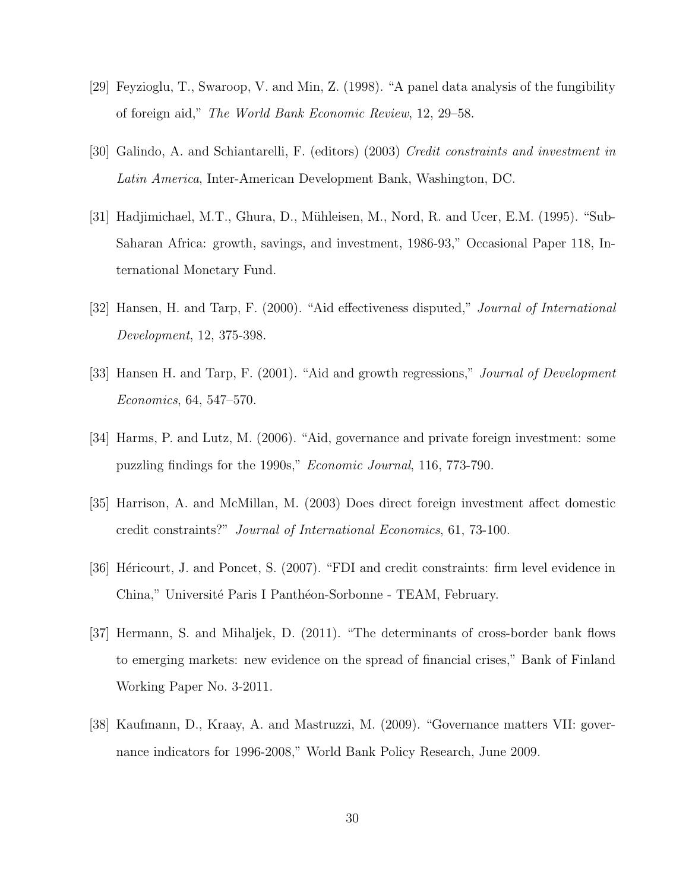- [29] Feyzioglu, T., Swaroop, V. and Min, Z. (1998). "A panel data analysis of the fungibility of foreign aid," The World Bank Economic Review, 12, 29–58.
- [30] Galindo, A. and Schiantarelli, F. (editors) (2003) Credit constraints and investment in Latin America, Inter-American Development Bank, Washington, DC.
- [31] Hadjimichael, M.T., Ghura, D., Mühleisen, M., Nord, R. and Ucer, E.M. (1995). "Sub-Saharan Africa: growth, savings, and investment, 1986-93," Occasional Paper 118, International Monetary Fund.
- [32] Hansen, H. and Tarp, F. (2000). "Aid effectiveness disputed," Journal of International Development, 12, 375-398.
- [33] Hansen H. and Tarp, F. (2001). "Aid and growth regressions," *Journal of Development* Economics, 64, 547–570.
- [34] Harms, P. and Lutz, M. (2006). "Aid, governance and private foreign investment: some puzzling findings for the 1990s," Economic Journal, 116, 773-790.
- [35] Harrison, A. and McMillan, M. (2003) Does direct foreign investment affect domestic credit constraints?" Journal of International Economics, 61, 73-100.
- [36] Héricourt, J. and Poncet, S. (2007). "FDI and credit constraints: firm level evidence in China," Université Paris I Panthéon-Sorbonne - TEAM, February.
- [37] Hermann, S. and Mihaljek, D. (2011). "The determinants of cross-border bank flows to emerging markets: new evidence on the spread of financial crises," Bank of Finland Working Paper No. 3-2011.
- [38] Kaufmann, D., Kraay, A. and Mastruzzi, M. (2009). "Governance matters VII: governance indicators for 1996-2008," World Bank Policy Research, June 2009.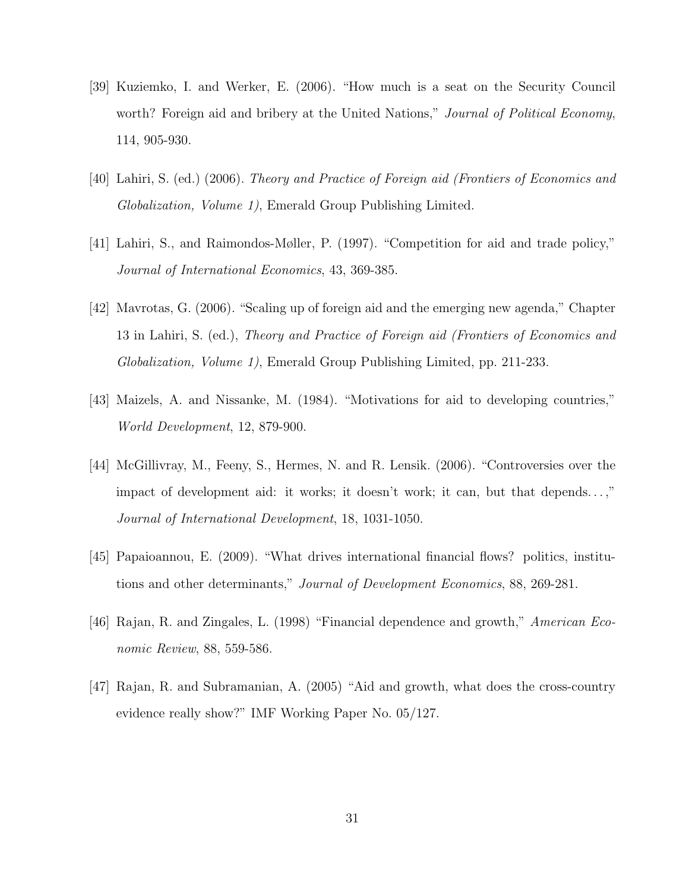- [39] Kuziemko, I. and Werker, E. (2006). "How much is a seat on the Security Council worth? Foreign aid and bribery at the United Nations," Journal of Political Economy, 114, 905-930.
- [40] Lahiri, S. (ed.) (2006). Theory and Practice of Foreign aid (Frontiers of Economics and Globalization, Volume 1), Emerald Group Publishing Limited.
- [41] Lahiri, S., and Raimondos-Møller, P. (1997). "Competition for aid and trade policy," Journal of International Economics, 43, 369-385.
- [42] Mavrotas, G. (2006). "Scaling up of foreign aid and the emerging new agenda," Chapter 13 in Lahiri, S. (ed.), Theory and Practice of Foreign aid (Frontiers of Economics and Globalization, Volume 1), Emerald Group Publishing Limited, pp. 211-233.
- [43] Maizels, A. and Nissanke, M. (1984). "Motivations for aid to developing countries," World Development, 12, 879-900.
- [44] McGillivray, M., Feeny, S., Hermes, N. and R. Lensik. (2006). "Controversies over the impact of development aid: it works; it doesn't work; it can, but that depends. . . ," Journal of International Development, 18, 1031-1050.
- [45] Papaioannou, E. (2009). "What drives international financial flows? politics, institutions and other determinants," Journal of Development Economics, 88, 269-281.
- [46] Rajan, R. and Zingales, L. (1998) "Financial dependence and growth," American Economic Review, 88, 559-586.
- [47] Rajan, R. and Subramanian, A. (2005) "Aid and growth, what does the cross-country evidence really show?" IMF Working Paper No. 05/127.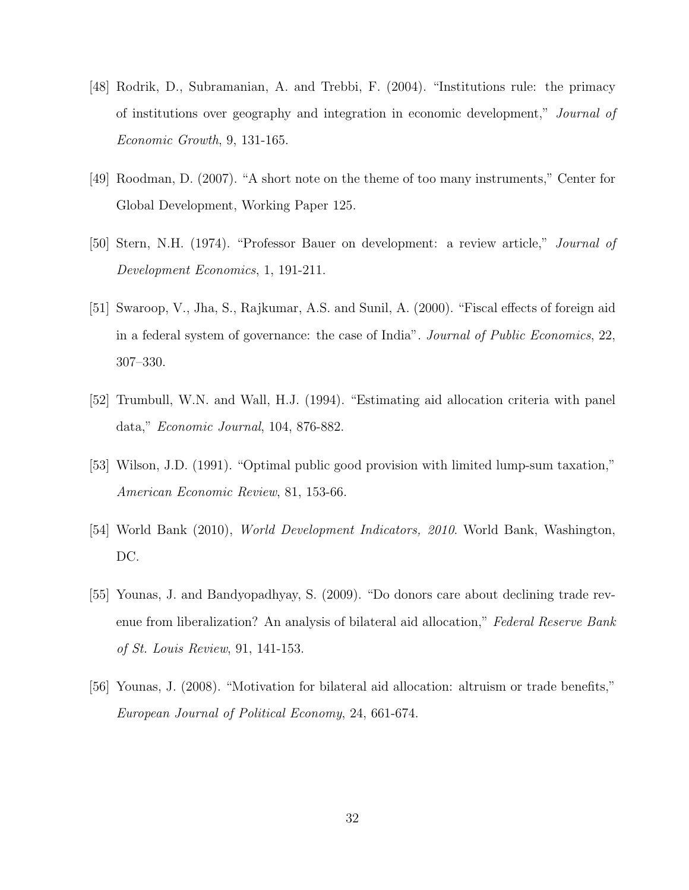- [48] Rodrik, D., Subramanian, A. and Trebbi, F. (2004). "Institutions rule: the primacy of institutions over geography and integration in economic development," Journal of Economic Growth, 9, 131-165.
- [49] Roodman, D. (2007). "A short note on the theme of too many instruments," Center for Global Development, Working Paper 125.
- [50] Stern, N.H. (1974). "Professor Bauer on development: a review article," Journal of Development Economics, 1, 191-211.
- [51] Swaroop, V., Jha, S., Rajkumar, A.S. and Sunil, A. (2000). "Fiscal effects of foreign aid in a federal system of governance: the case of India". Journal of Public Economics, 22, 307–330.
- [52] Trumbull, W.N. and Wall, H.J. (1994). "Estimating aid allocation criteria with panel data," Economic Journal, 104, 876-882.
- [53] Wilson, J.D. (1991). "Optimal public good provision with limited lump-sum taxation," American Economic Review, 81, 153-66.
- [54] World Bank (2010), World Development Indicators, 2010. World Bank, Washington, DC.
- [55] Younas, J. and Bandyopadhyay, S. (2009). "Do donors care about declining trade revenue from liberalization? An analysis of bilateral aid allocation," Federal Reserve Bank of St. Louis Review, 91, 141-153.
- [56] Younas, J. (2008). "Motivation for bilateral aid allocation: altruism or trade benefits," European Journal of Political Economy, 24, 661-674.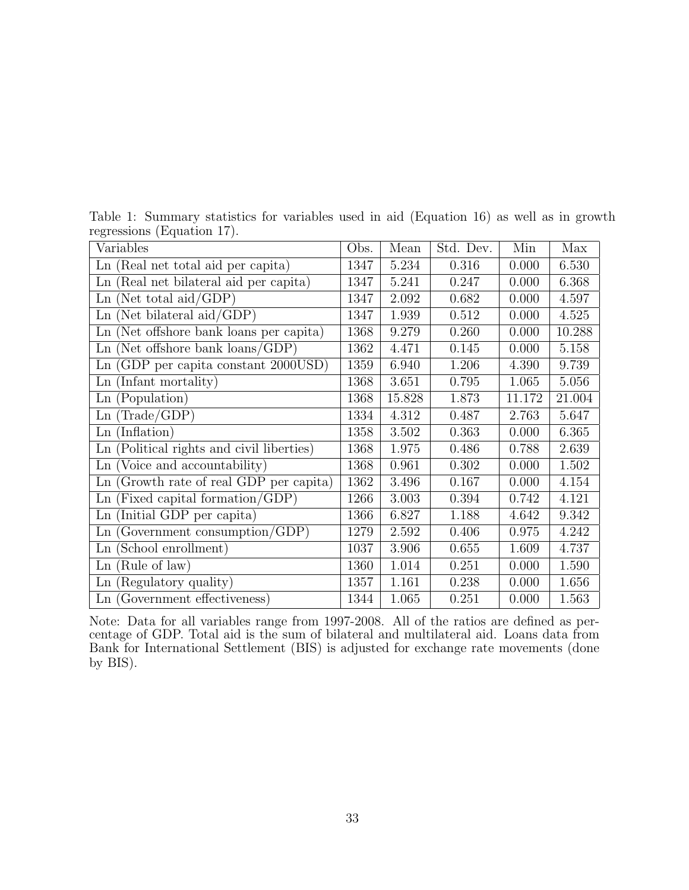| Variables                                 | Obs. | Mean   | Std. Dev. | Min    | Max    |
|-------------------------------------------|------|--------|-----------|--------|--------|
| Ln (Real net total aid per capita)        | 1347 | 5.234  | 0.316     | 0.000  | 6.530  |
| Ln (Real net bilateral aid per capita)    | 1347 | 5.241  | 0.247     | 0.000  | 6.368  |
| $Ln$ (Net total aid/GDP)                  | 1347 | 2.092  | 0.682     | 0.000  | 4.597  |
| $Ln$ (Net bilateral aid/GDP)              | 1347 | 1.939  | 0.512     | 0.000  | 4.525  |
| Ln (Net offshore bank loans per capita)   | 1368 | 9.279  | 0.260     | 0.000  | 10.288 |
| $Ln$ (Net offshore bank loans/GDP)        | 1362 | 4.471  | 0.145     | 0.000  | 5.158  |
| Ln (GDP per capita constant 2000USD)      | 1359 | 6.940  | 1.206     | 4.390  | 9.739  |
| Ln (Infant mortality)                     | 1368 | 3.651  | 0.795     | 1.065  | 5.056  |
| Ln (Population)                           | 1368 | 15.828 | 1.873     | 11.172 | 21.004 |
| Ln(Trade/GDP)                             | 1334 | 4.312  | 0.487     | 2.763  | 5.647  |
| $Ln$ (Inflation)                          | 1358 | 3.502  | 0.363     | 0.000  | 6.365  |
| Ln (Political rights and civil liberties) | 1368 | 1.975  | 0.486     | 0.788  | 2.639  |
| Ln (Voice and accountability)             | 1368 | 0.961  | 0.302     | 0.000  | 1.502  |
| Ln (Growth rate of real GDP per capita)   | 1362 | 3.496  | 0.167     | 0.000  | 4.154  |
| $\text{Ln}$ (Fixed capital formation/GDP) | 1266 | 3.003  | 0.394     | 0.742  | 4.121  |
| Ln (Initial GDP per capita)               | 1366 | 6.827  | 1.188     | 4.642  | 9.342  |
| $\text{Ln}$ (Government consumption/GDP)  | 1279 | 2.592  | 0.406     | 0.975  | 4.242  |
| Ln (School enrollment)                    | 1037 | 3.906  | 0.655     | 1.609  | 4.737  |
| $Ln$ (Rule of law)                        | 1360 | 1.014  | 0.251     | 0.000  | 1.590  |
| Ln (Regulatory quality)                   | 1357 | 1.161  | 0.238     | 0.000  | 1.656  |
| Ln (Government effectiveness)             | 1344 | 1.065  | 0.251     | 0.000  | 1.563  |

Table 1: Summary statistics for variables used in aid (Equation 16) as well as in growth regressions (Equation 17).

Note: Data for all variables range from 1997-2008. All of the ratios are defined as percentage of GDP. Total aid is the sum of bilateral and multilateral aid. Loans data from Bank for International Settlement (BIS) is adjusted for exchange rate movements (done by BIS).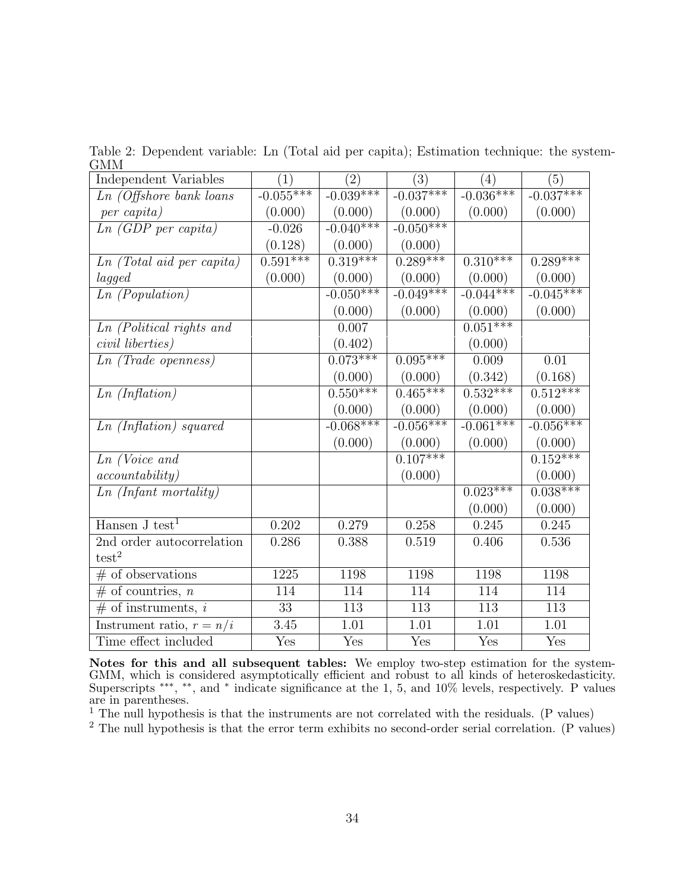| Independent Variables            | (1)         | (2)         | (3)         | (4)         | (5)                   |
|----------------------------------|-------------|-------------|-------------|-------------|-----------------------|
| <i>Ln</i> (Offshore bank loans   | $-0.055***$ | $-0.039***$ | $-0.037***$ | $-0.036***$ | $-0.037***$           |
| per capita)                      | (0.000)     | (0.000)     | (0.000)     | (0.000)     | (0.000)               |
| Ln (GDP per capita)              | $-0.026$    | $-0.040***$ | $-0.050***$ |             |                       |
|                                  | (0.128)     | (0.000)     | (0.000)     |             |                       |
| <i>Ln</i> (Total aid per capita) | $0.591***$  | $0.319***$  | $0.289***$  | $0.310***$  | $0.\overline{289***}$ |
| lagged                           | (0.000)     | (0.000)     | (0.000)     | (0.000)     | (0.000)               |
| Ln (Population)                  |             | $-0.050***$ | $-0.049***$ | $-0.044***$ | $-0.045***$           |
|                                  |             | (0.000)     | (0.000)     | (0.000)     | (0.000)               |
| Ln (Political rights and         |             | 0.007       |             | $0.051***$  |                       |
| civil liberties)                 |             | (0.402)     |             | (0.000)     |                       |
| $Ln$ (Trade openness)            |             | $0.073***$  | $0.095***$  | 0.009       | 0.01                  |
|                                  |             | (0.000)     | (0.000)     | (0.342)     | (0.168)               |
| Ln(Inflation)                    |             | $0.550***$  | $0.465***$  | $0.532***$  | $0.512***$            |
|                                  |             | (0.000)     | (0.000)     | (0.000)     | (0.000)               |
| Ln (Inflation) squared           |             | $-0.068***$ | $-0.056***$ | $-0.061***$ | $-0.056***$           |
|                                  |             | (0.000)     | (0.000)     | (0.000)     | (0.000)               |
| $Ln$ (Voice and                  |             |             | $0.107***$  |             | $0.152***$            |
| accountability)                  |             |             | (0.000)     |             | (0.000)               |
| Ln (Infant mortality)            |             |             |             | $0.023***$  | $0.038***$            |
|                                  |             |             |             | (0.000)     | (0.000)               |
| Hansen $J$ test <sup>1</sup>     | 0.202       | 0.279       | 0.258       | 0.245       | 0.245                 |
| 2nd order autocorrelation        | 0.286       | 0.388       | 0.519       | 0.406       | 0.536                 |
| test <sup>2</sup>                |             |             |             |             |                       |
| $#$ of observations              | 1225        | 1198        | 1198        | 1198        | 1198                  |
| $#$ of countries, n              | 114         | 114         | 114         | 114         | 114                   |
| $#$ of instruments, i            | 33          | 113         | 113         | 113         | 113                   |
| Instrument ratio, $r = n/i$      | 3.45        | 1.01        | 1.01        | 1.01        | 1.01                  |
| Time effect included             | Yes         | Yes         | Yes         | Yes         | Yes                   |

Table 2: Dependent variable: Ln (Total aid per capita); Estimation technique: the system-GMM

Notes for this and all subsequent tables: We employ two-step estimation for the system-GMM, which is considered asymptotically efficient and robust to all kinds of heteroskedasticity. Superscripts ∗∗∗ , ∗∗, and <sup>∗</sup> indicate significance at the 1, 5, and 10% levels, respectively. P values are in parentheses.

 $<sup>1</sup>$  The null hypothesis is that the instruments are not correlated with the residuals. (P values)</sup>

 $2$  The null hypothesis is that the error term exhibits no second-order serial correlation. (P values)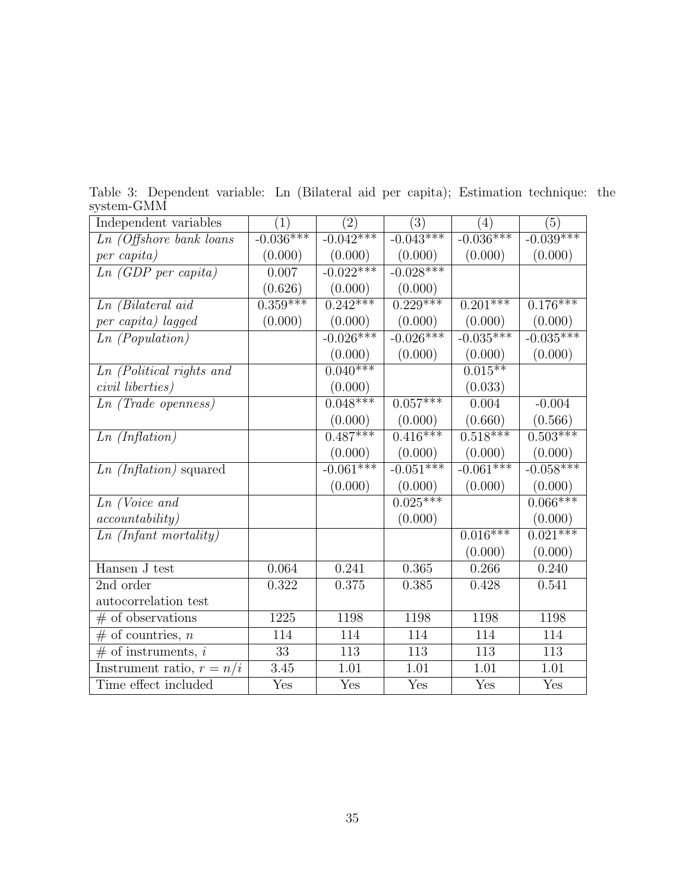| ,,,,,,,,,,,,,,,,,,,,        |             |                   |             |             |                       |
|-----------------------------|-------------|-------------------|-------------|-------------|-----------------------|
| Independent variables       | (1)         | $\left( 2\right)$ | (3)         | (4)         | (5)                   |
| $Ln$ (Offshore bank loans   | $-0.036***$ | $-0.042***$       | $-0.043***$ | $-0.036***$ | $-0.039***$           |
| per capita)                 | (0.000)     | (0.000)           | (0.000)     | (0.000)     | (0.000)               |
| Ln (GDP per capita)         | 0.007       | $-0.022***$       | $-0.028***$ |             |                       |
|                             | (0.626)     | (0.000)           | (0.000)     |             |                       |
| Ln (Bilateral aid           | $0.359***$  | $0.242***$        | $0.229***$  | $0.201***$  | $0.1\overline{76***}$ |
| per capita) lagged          | (0.000)     | (0.000)           | (0.000)     | (0.000)     | (0.000)               |
| $Ln$ (Population)           |             | $-0.026***$       | $-0.026***$ | $-0.035***$ | $-0.035***$           |
|                             |             | (0.000)           | (0.000)     | (0.000)     | (0.000)               |
| Ln (Political rights and    |             | $0.040***$        |             | $0.015***$  |                       |
| civil liberties)            |             | (0.000)           |             | (0.033)     |                       |
| $Ln$ (Trade openness)       |             | $0.048***$        | $0.057***$  | 0.004       | $-0.004$              |
|                             |             | (0.000)           | (0.000)     | (0.660)     | (0.566)               |
| Ln (Inflation)              |             | $0.487***$        | $0.416***$  | $0.518***$  | $0.503***$            |
|                             |             | (0.000)           | (0.000)     | (0.000)     | (0.000)               |
| $Ln (Inflation)$ squared    |             | $-0.061***$       | $-0.051***$ | $-0.061***$ | $-0.058***$           |
|                             |             | (0.000)           | (0.000)     | (0.000)     | (0.000)               |
| $Ln$ (Voice and             |             |                   | $0.025***$  |             | $0.066***$            |
| accountability)             |             |                   | (0.000)     |             | (0.000)               |
| Ln (Infant mortality)       |             |                   |             | $0.016***$  | $0.021***$            |
|                             |             |                   |             | (0.000)     | (0.000)               |
| Hansen J test               | 0.064       | 0.241             | 0.365       | 0.266       | 0.240                 |
| 2nd order                   | 0.322       | 0.375             | 0.385       | 0.428       | 0.541                 |
| autocorrelation test        |             |                   |             |             |                       |
| $#$ of observations         | 1225        | 1198              | 1198        | 1198        | 1198                  |
| $#$ of countries, n         | 114         | 114               | 114         | 114         | 114                   |
| $#$ of instruments, i       | 33          | 113               | 113         | 113         | 113                   |
| Instrument ratio, $r = n/i$ | 3.45        | 1.01              | 1.01        | 1.01        | 1.01                  |
| Time effect included        | Yes         | Yes               | Yes         | Yes         | Yes                   |

Table 3: Dependent variable: Ln (Bilateral aid per capita); Estimation technique: the system-GMM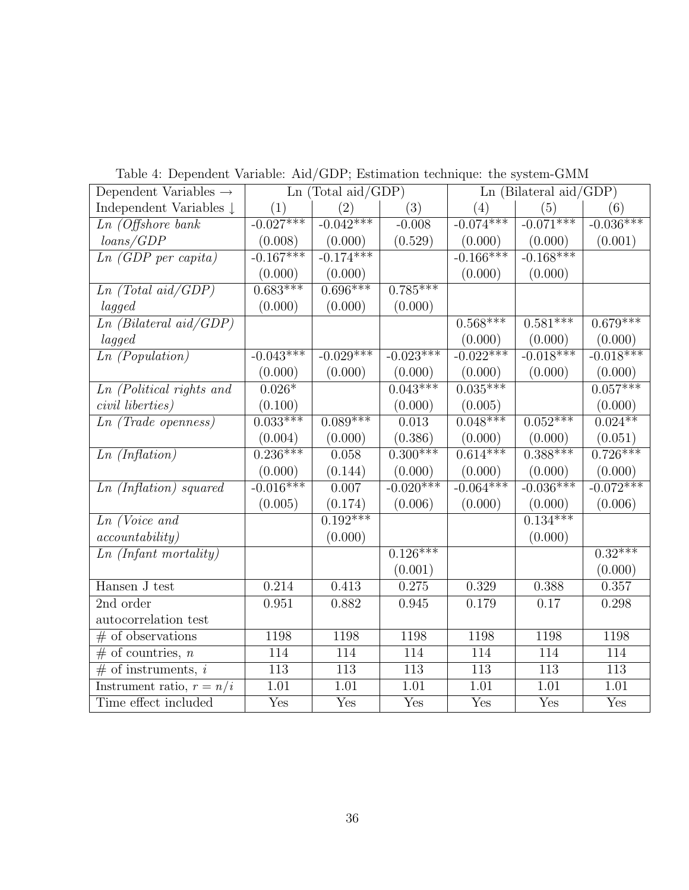| Dependent Variables $\rightarrow$          |                  | Ln (Total aid/GDP) |                  | $Ln$ (Bilateral aid/GDP) |                  |             |
|--------------------------------------------|------------------|--------------------|------------------|--------------------------|------------------|-------------|
| Independent Variables $\downarrow$         | (1)              | (2)                | (3)              | (4)                      | (5)              | (6)         |
| $Ln$ (Offshore bank                        | $-0.027***$      | $-0.042***$        | $-0.008$         | $-0.074***$              | $-0.071***$      | $-0.036***$ |
| loans/GDP                                  | (0.008)          | (0.000)            | (0.529)          | (0.000)                  | (0.000)          | (0.001)     |
| $\overline{Ln\ (GDP\ per\ capital)}$       | $-0.167***$      | $-0.174***$        |                  | $-0.166***$              | $-0.168***$      |             |
|                                            | (0.000)          | (0.000)            |                  | (0.000)                  | (0.000)          |             |
| $Ln (Total \text{ } ai\overline{d/GDP})$   | $0.683***$       | $0.696***$         | $0.785***$       |                          |                  |             |
| lagged                                     | (0.000)          | (0.000)            | (0.000)          |                          |                  |             |
| $Ln$ (Bilateral aid/GDP)                   |                  |                    |                  | $0.568***$               | $0.581***$       | $0.679***$  |
| lagged                                     |                  |                    |                  | (0.000)                  | (0.000)          | (0.000)     |
| $Ln$ (Population)                          | $-0.043***$      | $-0.029***$        | $-0.023***$      | $-0.022***$              | $-0.018***$      | $-0.018***$ |
|                                            | (0.000)          | (0.000)            | (0.000)          | (0.000)                  | (0.000)          | (0.000)     |
| Ln (Political rights and                   | $0.026*$         |                    | $0.043***$       | $0.035***$               |                  | $0.057***$  |
| civil liberties)                           | (0.100)          |                    | (0.000)          | (0.005)                  |                  | (0.000)     |
| $\overline{Ln}$ (Trade openness)           | $0.033***$       | $0.089***$         | 0.013            | $0.048***$               | $0.052***$       | $0.024**$   |
|                                            | (0.004)          | (0.000)            | (0.386)          | (0.000)                  | (0.000)          | (0.051)     |
| Ln(Inflation)                              | $0.236***$       | 0.058              | $0.300***$       | $0.614***$               | $0.388***$       | $0.726***$  |
|                                            | (0.000)          | (0.144)            | (0.000)          | (0.000)                  | (0.000)          | (0.000)     |
| Ln (Inflation) squared                     | $-0.016***$      | 0.007              | $-0.020***$      | $-0.064***$              | $-0.036***$      | $-0.072***$ |
|                                            | (0.005)          | (0.174)            | (0.006)          | (0.000)                  | (0.000)          | (0.006)     |
| $Ln$ (Voice and                            |                  | $0.192***$         |                  |                          | $0.134***$       |             |
| accountability)                            |                  | (0.000)            |                  |                          | (0.000)          |             |
| $\overline{Ln}$ (Infant mortality)         |                  |                    | $0.126***$       |                          |                  | $0.32***$   |
|                                            |                  |                    | (0.001)          |                          |                  | (0.000)     |
| Hansen J test                              | 0.214            | 0.413              | 0.275            | 0.329                    | 0.388            | 0.357       |
| 2nd order                                  | 0.951            | 0.882              | 0.945            | 0.179                    | 0.17             | 0.298       |
| autocorrelation test                       |                  |                    |                  |                          |                  |             |
| $#$ of observations                        | 1198             | 1198               | 1198             | 1198                     | 1198             | 1198        |
| $#$ of countries, <i>n</i>                 | 114              | 114                | 114              | 114                      | 114              | 114         |
| $\overline{\# \text{ of instruments, } i}$ | $\overline{113}$ | 113                | $\overline{113}$ | 113                      | $\overline{113}$ | 113         |
| Instrument ratio, $r = n/i$                | 1.01             | 1.01               | 1.01             | 1.01                     | 1.01             | 1.01        |
| Time effect included                       | Yes              | Yes                | Yes              | Yes                      | Yes              | Yes         |

Table 4: Dependent Variable: Aid/GDP; Estimation technique: the system-GMM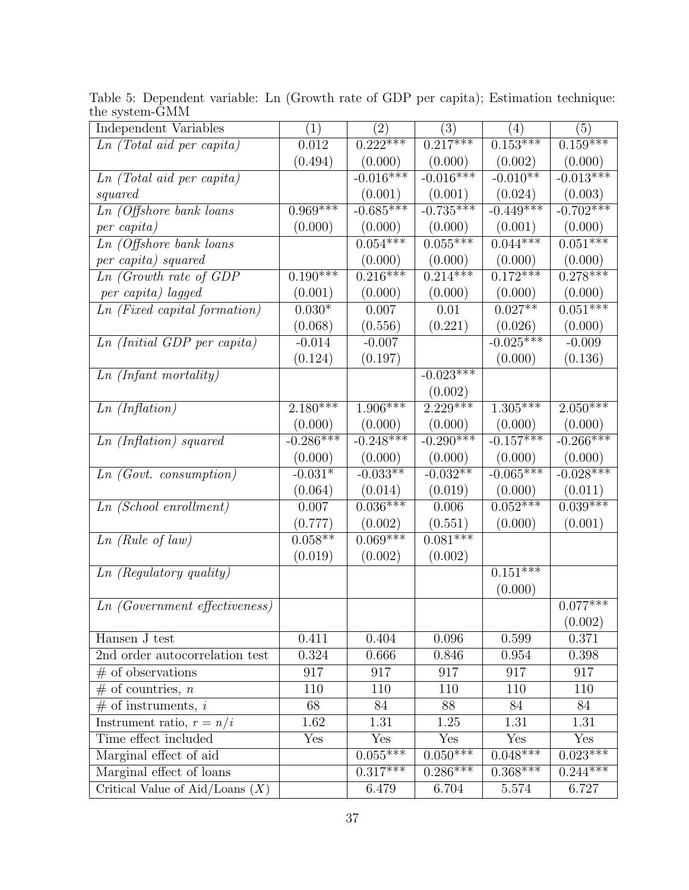| Independent Variables                  | (1)                     | $\left( 2\right)$ | (3)         | (4)         | (5)         |
|----------------------------------------|-------------------------|-------------------|-------------|-------------|-------------|
| Ln (Total aid per capita)              | $0.012\,$               | $0.222***$        | $0.217***$  | $0.153***$  | $0.159***$  |
|                                        | (0.494)                 | (0.000)           | (0.000)     | (0.002)     | (0.000)     |
| $\overline{Ln}$ (Total aid per capita) |                         | $-0.016***$       | $-0.016***$ | $-0.010**$  | $-0.013***$ |
| squared                                |                         | (0.001)           | (0.001)     | (0.024)     | (0.003)     |
| $Ln$ (Offshore bank loans              | $0.969***$              | $-0.685***$       | $-0.735***$ | $-0.449***$ | $-0.702***$ |
| per capita)                            | (0.000)                 | (0.000)           | (0.000)     | (0.001)     | (0.000)     |
| $Ln$ (Offshore bank loans              |                         | $0.054***$        | $0.055***$  | $0.044***$  | $0.051***$  |
| per capita) squared                    |                         | (0.000)           | (0.000)     | (0.000)     | (0.000)     |
| $Ln$ (Growth rate of GDP               | $0.190***$              | $0.216***$        | $0.214***$  | $0.172***$  | $0.278***$  |
| per capita) lagged                     | (0.001)                 | (0.000)           | (0.000)     | (0.000)     | (0.000)     |
| $Ln$ (Fixed capital formation)         | $0.030*$                | 0.007             | 0.01        | $0.027**$   | $0.051***$  |
|                                        | (0.068)                 | (0.556)           | (0.221)     | (0.026)     | (0.000)     |
| $Ln$ (Initial GDP per capita)          | $-0.014$                | $-0.007$          |             | $-0.025***$ | $-0.009$    |
|                                        | (0.124)                 | (0.197)           |             | (0.000)     | (0.136)     |
| Ln (Infant mortality)                  |                         |                   | $-0.023***$ |             |             |
|                                        |                         |                   | (0.002)     |             |             |
| Ln (Inflation)                         | $2.180***$              | $1.906***$        | $2.229***$  | $1.305***$  | $2.050***$  |
|                                        | (0.000)                 | (0.000)           | (0.000)     | (0.000)     | (0.000)     |
| Ln (Inflation) squared                 | $-0.286***$             | $-0.248***$       | $-0.290***$ | $-0.157***$ | $-0.266***$ |
|                                        | (0.000)                 | (0.000)           | (0.000)     | (0.000)     | (0.000)     |
| Ln(Govt. constant                      | $-0.031*$               | $-0.033**$        | $-0.032**$  | $-0.065***$ | $-0.028***$ |
|                                        | (0.064)                 | (0.014)           | (0.019)     | (0.000)     | (0.011)     |
| $Ln(School\; en rollment)$             | 0.007                   | $0.036***$        | 0.006       | $0.052***$  | $0.039***$  |
|                                        | (0.777)                 | (0.002)           | (0.551)     | (0.000)     | (0.001)     |
| Ln(Rule of law)                        | $0.058**$               | $0.069***$        | $0.081***$  |             |             |
|                                        | (0.019)                 | (0.002)           | (0.002)     |             |             |
| Ln (Regulatory quality)                |                         |                   |             | $0.151***$  |             |
|                                        |                         |                   |             | (0.000)     |             |
| <i>Ln</i> (Government effectiveness)   |                         |                   |             |             | $0.077***$  |
|                                        |                         |                   |             |             | (0.002)     |
| Hansen J test                          | 0.411                   | 0.404             | 0.096       | 0.599       | 0.371       |
| 2nd order autocorrelation test         | 0.324                   | 0.666             | 0.846       | 0.954       | 0.398       |
| $#$ of observations                    | 917                     | 917               | 917         | 917         | 917         |
| $#$ of countries, <i>n</i>             | 110                     | 110               | 110         | 110         | 110         |
| $#$ of instruments, i                  | 68                      | 84                | 88          | 84          | 84          |
| Instrument ratio, $r = n/i$            | 1.62                    | 1.31              | 1.25        | 1.31        | 1.31        |
| Time effect included                   | $\overline{\text{Yes}}$ | Yes               | Yes         | Yes         | Yes         |
| Marginal effect of aid                 |                         | $0.055***$        | $0.050***$  | $0.048***$  | $0.023***$  |
| Marginal effect of loans               |                         | $0.317***$        | $0.286***$  | $0.368***$  | $0.244***$  |
| Critical Value of Aid/Loans $(X)$      |                         | 6.479             | 6.704       | 5.574       | 6.727       |

Table 5: Dependent variable: Ln (Growth rate of GDP per capita); Estimation technique: the system-GMM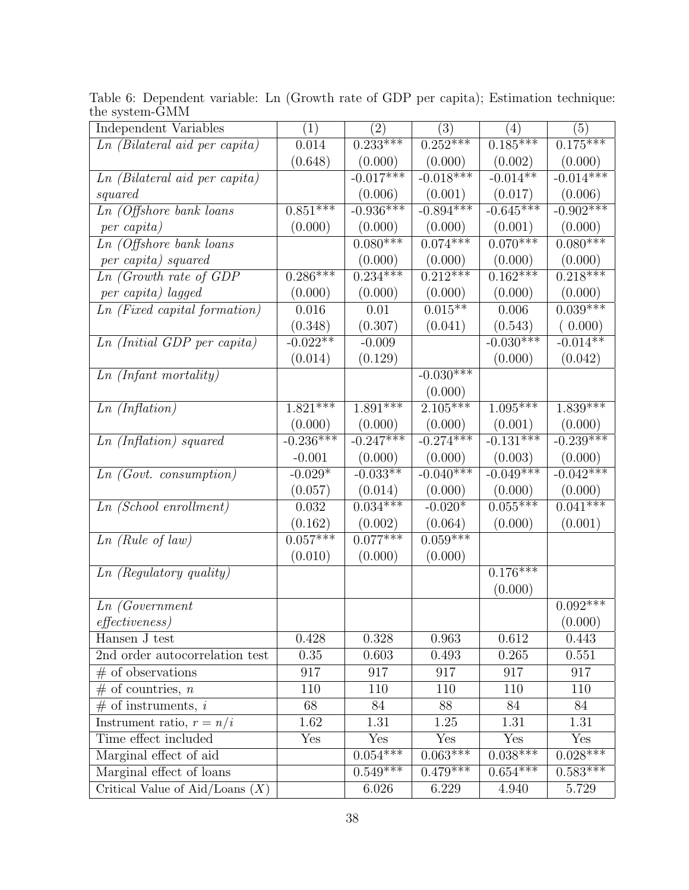| Independent Variables             | (1)         | $\left( 2\right)$     | (3)                   | (4)         | (5)                   |
|-----------------------------------|-------------|-----------------------|-----------------------|-------------|-----------------------|
| Ln (Bilateral aid per capita)     | 0.014       | $0.233***$            | $0.252***$            | $0.185***$  | $0.175***$            |
|                                   | (0.648)     | (0.000)               | (0.000)               | (0.002)     | (0.000)               |
| Ln (Bilateral aid per capita)     |             | $-0.017***$           | $-0.018***$           | $-0.014**$  | $-0.014***$           |
| squared                           |             | (0.006)               | (0.001)               | (0.017)     | (0.006)               |
| $Ln$ (Offshore bank loans         | $0.851***$  | $-0.936***$           | $-0.894***$           | $-0.645***$ | $-0.902***$           |
| per capita)                       | (0.000)     | (0.000)               | (0.000)               | (0.001)     | (0.000)               |
| $Ln$ (Offshore bank loans         |             | $0.080***$            | $0.074***$            | $0.070***$  | $0.080***$            |
| per capita) squared               |             | (0.000)               | (0.000)               | (0.000)     | (0.000)               |
| $Ln$ (Growth rate of GDP          | $0.286***$  | $0.234***$            | $0.212***$            | $0.162***$  | $0.218***$            |
| per capita) lagged                | (0.000)     | (0.000)               | (0.000)               | (0.000)     | (0.000)               |
| $Ln$ (Fixed capital formation)    | 0.016       | 0.01                  | $0.015***$            | 0.006       | $0.039***$            |
|                                   | (0.348)     | (0.307)               | (0.041)               | (0.543)     | (0.000)               |
| Ln (Initial GDP per capita)       | $-0.022**$  | $-0.009$              |                       | $-0.030***$ | $-0.014**$            |
|                                   | (0.014)     | (0.129)               |                       | (0.000)     | (0.042)               |
| Ln (Infant mortality)             |             |                       | $-0.030***$           |             |                       |
|                                   |             |                       | (0.000)               |             |                       |
| Ln(Inflation)                     | $1.821***$  | $1.\overline{891***}$ | $2.105***$            | $1.095***$  | $1.\overline{839***}$ |
|                                   | (0.000)     | (0.000)               | (0.000)               | (0.001)     | (0.000)               |
| Ln (Inflation) squared            | $-0.236***$ | $-0.247***$           | $-0.274***$           | $-0.131***$ | $-0.239***$           |
|                                   | $-0.001$    | (0.000)               | (0.000)               | (0.003)     | (0.000)               |
| Ln(Govt. constant,                | $-0.029*$   | $-0.033**$            | $-0.040***$           | $-0.049***$ | $-0.042***$           |
|                                   | (0.057)     | (0.014)               | (0.000)               | (0.000)     | (0.000)               |
| $Ln(School\; en rollment)$        | 0.032       | $0.034***$            | $-0.020*$             | $0.055***$  | $0.041***$            |
|                                   | (0.162)     | (0.002)               | (0.064)               | (0.000)     | (0.001)               |
| $Ln \ (Rule \ of \ law)$          | $0.057***$  | $0.077***$            | $0.059***$            |             |                       |
|                                   | (0.010)     | (0.000)               | (0.000)               |             |                       |
| $Ln$ (Regulatory quality)         |             |                       |                       | $0.176***$  |                       |
|                                   |             |                       |                       | (0.000)     |                       |
| $\overline{L}n$ (Government       |             |                       |                       |             | $0.092***$            |
| effectiveness)                    |             |                       |                       |             | (0.000)               |
| Hansen J test                     | 0.428       | 0.328                 | 0.963                 | 0.612       | 0.443                 |
| 2nd order autocorrelation test    | 0.35        | 0.603                 | 0.493                 | 0.265       | 0.551                 |
| $\overline{\#}$ of observations   | 917         | 917                   | 917                   | 917         | 917                   |
| $#$ of countries, <i>n</i>        | 110         | 110                   | 110                   | 110         | 110                   |
| $\overline{\#}$ of instruments, i | 68          | 84                    | 88                    | 84          | 84                    |
| Instrument ratio, $r = n/i$       | 1.62        | 1.31                  | 1.25                  | 1.31        | 1.31                  |
| Time effect included              | Yes         | Yes                   | Yes                   | Yes         | Yes                   |
| Marginal effect of aid            |             | $0.054***$            | $0.063***$            | $0.038***$  | $0.028***$            |
| Marginal effect of loans          |             | $0.549***$            | $0.\overline{479***}$ | $0.654***$  | $0.583***$            |
| Critical Value of Aid/Loans $(X)$ |             | 6.026                 | 6.229                 | 4.940       | 5.729                 |

Table 6: Dependent variable: Ln (Growth rate of GDP per capita); Estimation technique: the system-GMM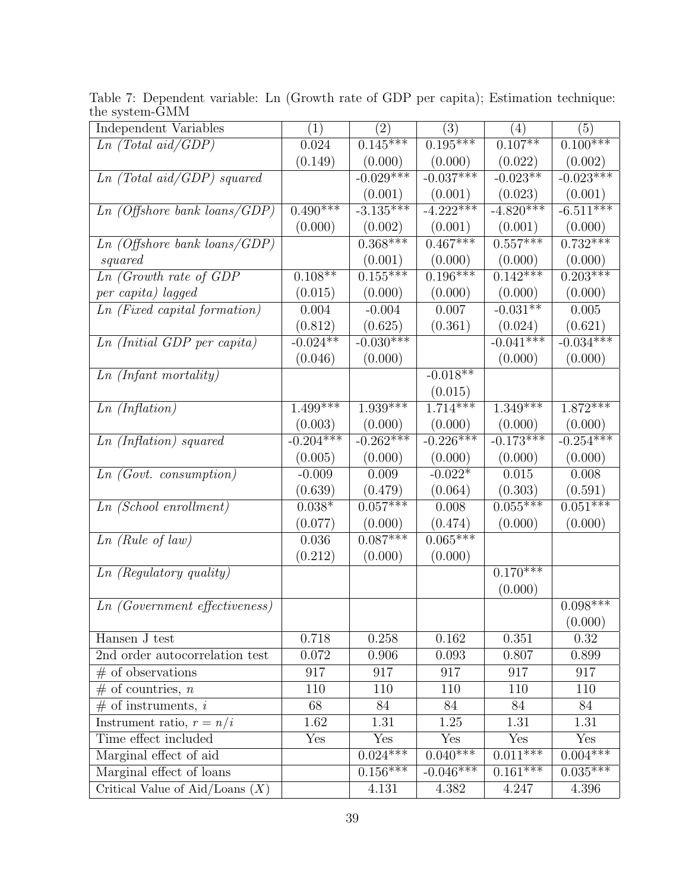| Independent Variables                | $\left( 1\right)$     | $\left( 2\right)$ | (3)         | (4)                   | (5)                    |
|--------------------------------------|-----------------------|-------------------|-------------|-----------------------|------------------------|
| Ln (Total aid/GDP)                   | 0.024                 | $0.145***$        | $0.195***$  | $0.107**$             | $0.100***$             |
|                                      | (0.149)               | (0.000)           | (0.000)     | (0.022)               | (0.002)                |
| Ln (Total aid/GDP) squared           |                       | $-0.029***$       | $-0.037***$ | $-0.023**$            | $-0.023***$            |
|                                      |                       | (0.001)           | (0.001)     | (0.023)               | (0.001)                |
| Ln~(Offshore~bank~loans/GDP)         | $0.490***$            | $-3.135***$       | $-4.222***$ | $-4.820***$           | $-6.\overline{511***}$ |
|                                      | (0.000)               | (0.002)           | (0.001)     | (0.001)               | (0.000)                |
| Ln~(Offshore~bank~loans/GDP)         |                       | $0.368***$        | $0.467***$  | $0.557***$            | $0.732***$             |
| squared                              |                       | (0.001)           | (0.000)     | (0.000)               | (0.000)                |
| $Ln$ (Growth rate of GDP             | $0.108**$             | $0.155***$        | $0.196***$  | $0.142***$            | $0.203***$             |
| per capita) lagged                   | (0.015)               | (0.000)           | (0.000)     | (0.000)               | (0.000)                |
| <i>Ln</i> (Fixed capital formation)  | 0.004                 | $-0.004$          | 0.007       | $-0.031**$            | 0.005                  |
|                                      | (0.812)               | (0.625)           | (0.361)     | (0.024)               | (0.621)                |
| Ln (Initial GDP per capita)          | $-0.024**$            | $-0.030***$       |             | $-0.041***$           | $-0.034***$            |
|                                      | (0.046)               | (0.000)           |             | (0.000)               | (0.000)                |
| $Ln \ (Infant \ mortality)$          |                       |                   | $-0.018**$  |                       |                        |
|                                      |                       |                   | (0.015)     |                       |                        |
| Ln (Inflation)                       | $1.\overline{499***}$ | $1.939***$        | $1.714***$  | $1.\overline{349***}$ | $1.872***$             |
|                                      | (0.003)               | (0.000)           | (0.000)     | (0.000)               | (0.000)                |
| Ln (Inflation) squared               | $-0.204***$           | $-0.262***$       | $-0.226***$ | $-0.173***$           | $-0.254***$            |
|                                      | (0.005)               | (0.000)           | (0.000)     | (0.000)               | (0.000)                |
| Ln(Govt. constant,                   | $-0.009$              | 0.009             | $-0.022*$   | 0.015                 | 0.008                  |
|                                      | (0.639)               | (0.479)           | (0.064)     | (0.303)               | (0.591)                |
| $Ln(School\; en rollment)$           | $0.038*$              | $0.057***$        | 0.008       | $0.055***$            | $0.051***$             |
|                                      | (0.077)               | (0.000)           | (0.474)     | (0.000)               | (0.000)                |
| $Ln$ (Rule of law)                   | 0.036                 | $0.087***$        | $0.065***$  |                       |                        |
|                                      | (0.212)               | (0.000)           | (0.000)     |                       |                        |
| $Ln$ (Regulatory quality)            |                       |                   |             | $0.170***$            |                        |
|                                      |                       |                   |             | (0.000)               |                        |
| <i>Ln</i> (Government effectiveness) |                       |                   |             |                       | $0.098***$             |
|                                      |                       |                   |             |                       | (0.000)                |
| Hansen J test                        | 0.718                 | 0.258             | 0.162       | 0.351                 | 0.32                   |
| 2nd order autocorrelation test       | 0.072                 | 0.906             | 0.093       | 0.807                 | 0.899                  |
| $#$ of observations                  | 917                   | 917               | 917         | 917                   | 917                    |
| $#$ of countries, <i>n</i>           | 110                   | 110               | 110         | 110                   | 110                    |
| $#$ of instruments, i                | 68                    | 84                | 84          | 84                    | 84                     |
| Instrument ratio, $r = n/i$          | 1.62                  | 1.31              | 1.25        | 1.31                  | 1.31                   |
| Time effect included                 | Yes                   | Yes               | Yes         | Yes                   | Yes                    |
| Marginal effect of aid               |                       | $0.024***$        | $0.040***$  | $0.011***$            | $0.004***$             |
| Marginal effect of loans             |                       | $0.156***$        | $-0.046***$ | $0.161***$            | $0.035***$             |
| Critical Value of Aid/Loans $(X)$    |                       | 4.131             | 4.382       | 4.247                 | 4.396                  |

Table 7: Dependent variable: Ln (Growth rate of GDP per capita); Estimation technique: the system-GMM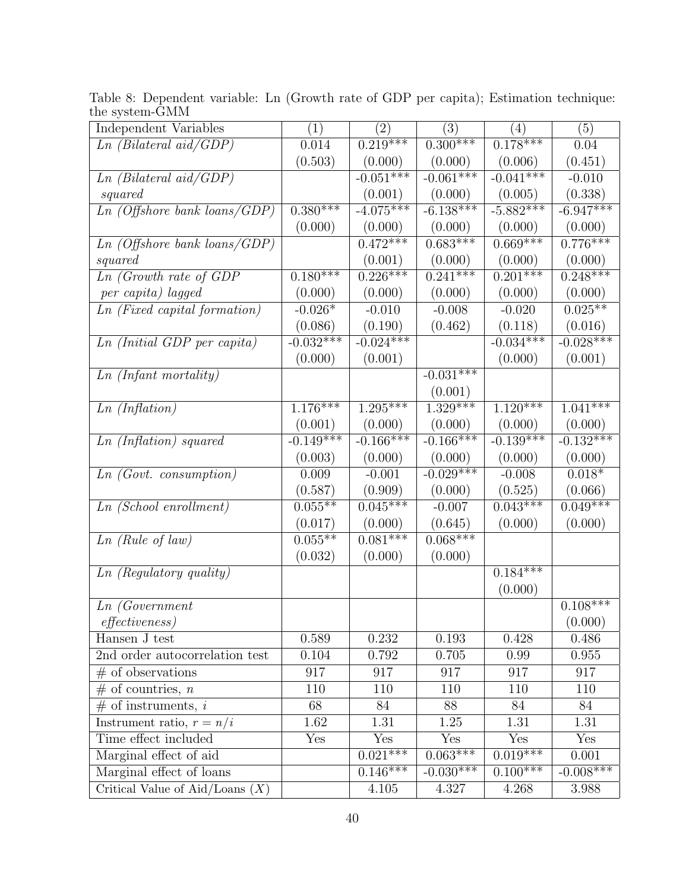| Independent Variables             | (1)                     | (2)                     | (3)         | (4)         | (5)         |
|-----------------------------------|-------------------------|-------------------------|-------------|-------------|-------------|
| $Ln$ (Bilateral aid/GDP)          | 0.014                   | $0.219***$              | $0.300***$  | $0.178***$  | 0.04        |
|                                   | (0.503)                 | (0.000)                 | (0.000)     | (0.006)     | (0.451)     |
| $Ln$ (Bilateral aid/GDP)          |                         | $-0.051***$             | $-0.061***$ | $-0.041***$ | $-0.010$    |
| squared                           |                         | (0.001)                 | (0.000)     | (0.005)     | (0.338)     |
| Ln~(Offshore~bank~loans/GDP)      | $0.380***$              | $-4.075***$             | $-6.138***$ | $-5.882***$ | $-6.947***$ |
|                                   | (0.000)                 | (0.000)                 | (0.000)     | (0.000)     | (0.000)     |
| Ln~(Offshore~bank~loans/GDP)      |                         | $0.472***$              | $0.683***$  | $0.669***$  | $0.776***$  |
| squared                           |                         | (0.001)                 | (0.000)     | (0.000)     | (0.000)     |
| $Ln$ (Growth rate of GDP          | $0.180***$              | $0.226***$              | $0.241***$  | $0.201***$  | $0.248***$  |
| per capita) lagged                | (0.000)                 | (0.000)                 | (0.000)     | (0.000)     | (0.000)     |
| $Ln$ (Fixed capital formation)    | $-0.026*$               | $-0.010$                | $-0.008$    | $-0.020$    | $0.025**$   |
|                                   | (0.086)                 | (0.190)                 | (0.462)     | (0.118)     | (0.016)     |
| $Ln$ (Initial GDP per capita)     | $-0.032***$             | $-0.024***$             |             | $-0.034***$ | $-0.028***$ |
|                                   | (0.000)                 | (0.001)                 |             | (0.000)     | (0.001)     |
| Ln (Infant mortality)             |                         |                         | $-0.031***$ |             |             |
|                                   |                         |                         | (0.001)     |             |             |
| Ln (Inflation)                    | $1.176***$              | $1.295***$              | $1.329***$  | $1.120***$  | $1.041***$  |
|                                   | (0.001)                 | (0.000)                 | (0.000)     | (0.000)     | (0.000)     |
| Ln (Inflation) squared            | $-0.149***$             | $-0.166***$             | $-0.166***$ | $-0.139***$ | $-0.132***$ |
|                                   | (0.003)                 | (0.000)                 | (0.000)     | (0.000)     | (0.000)     |
| Ln(Govt. constant,                | 0.009                   | $-0.001$                | $-0.029***$ | $-0.008$    | $0.018*$    |
|                                   | (0.587)                 | (0.909)                 | (0.000)     | (0.525)     | (0.066)     |
| $Ln(School\; en rollment)$        | $0.055**$               | $0.045***$              | $-0.007$    | $0.043***$  | $0.049***$  |
|                                   | (0.017)                 | (0.000)                 | (0.645)     | (0.000)     | (0.000)     |
| $Ln$ (Rule of law)                | $0.055***$              | $0.081***$              | $0.068***$  |             |             |
|                                   | (0.032)                 | (0.000)                 | (0.000)     |             |             |
| $Ln$ (Regulatory quality)         |                         |                         |             | $0.184***$  |             |
|                                   |                         |                         |             | (0.000)     |             |
| Ln(Government                     |                         |                         |             |             | $0.108***$  |
| <i>effectiveness</i> )            |                         |                         |             |             | (0.000)     |
| Hansen J test                     | 0.589                   | 0.232                   | 0.193       | 0.428       | 0.486       |
| 2nd order autocorrelation test    | 0.104                   | 0.792                   | 0.705       | 0.99        | 0.955       |
| $#$ of observations               | 917                     | 917                     | 917         | 917         | 917         |
| $#$ of countries, <i>n</i>        | 110                     | 110                     | 110         | 110         | 110         |
| $#$ of instruments, i             | 68                      | 84                      | 88          | 84          | 84          |
| Instrument ratio, $r = n/i$       | 1.62                    | 1.31                    | 1.25        | 1.31        | 1.31        |
| Time effect included              | $\overline{\text{Yes}}$ | $\overline{\text{Yes}}$ | Yes         | Yes         | Yes         |
| Marginal effect of aid            |                         | $0.021***$              | $0.063***$  | $0.019***$  | 0.001       |
| Marginal effect of loans          |                         | $0.146***$              | $-0.030***$ | $0.100***$  | $-0.008***$ |
| Critical Value of Aid/Loans $(X)$ |                         | 4.105                   | 4.327       | 4.268       | 3.988       |

Table 8: Dependent variable: Ln (Growth rate of GDP per capita); Estimation technique: the system-GMM